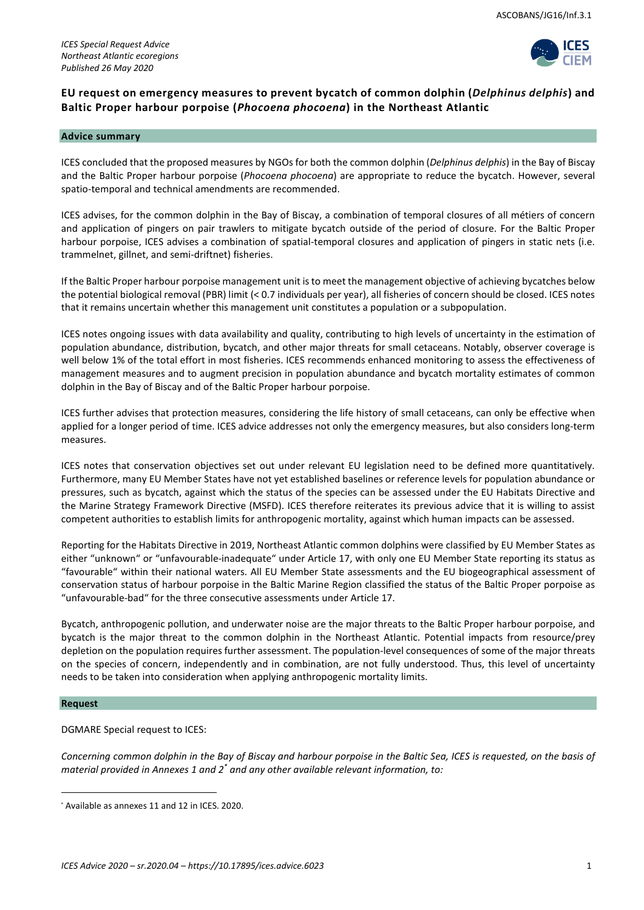

# **EU request on emergency measures to prevent bycatch of common dolphin (***Delphinus delphis***) and Baltic Proper harbour porpoise (***Phocoena phocoena***) in the Northeast Atlantic**

#### **Advice summary**

ICES concluded that the proposed measures by NGOs for both the common dolphin (*Delphinus delphis*) in the Bay of Biscay and the Baltic Proper harbour porpoise (*Phocoena phocoena*) are appropriate to reduce the bycatch. However, several spatio-temporal and technical amendments are recommended.

ICES advises, for the common dolphin in the Bay of Biscay, a combination of temporal closures of all métiers of concern and application of pingers on pair trawlers to mitigate bycatch outside of the period of closure. For the Baltic Proper harbour porpoise, ICES advises a combination of spatial-temporal closures and application of pingers in static nets (i.e. trammelnet, gillnet, and semi-driftnet) fisheries.

If the Baltic Proper harbour porpoise management unit is to meet the management objective of achieving bycatches below the potential biological removal (PBR) limit (< 0.7 individuals per year), all fisheries of concern should be closed. ICES notes that it remains uncertain whether this management unit constitutes a population or a subpopulation.

ICES notes ongoing issues with data availability and quality, contributing to high levels of uncertainty in the estimation of population abundance, distribution, bycatch, and other major threats for small cetaceans. Notably, observer coverage is well below 1% of the total effort in most fisheries. ICES recommends enhanced monitoring to assess the effectiveness of management measures and to augment precision in population abundance and bycatch mortality estimates of common dolphin in the Bay of Biscay and of the Baltic Proper harbour porpoise.

ICES further advises that protection measures, considering the life history of small cetaceans, can only be effective when applied for a longer period of time. ICES advice addresses not only the emergency measures, but also considers long-term measures.

ICES notes that conservation objectives set out under relevant EU legislation need to be defined more quantitatively. Furthermore, many EU Member States have not yet established baselines or reference levels for population abundance or pressures, such as bycatch, against which the status of the species can be assessed under the EU Habitats Directive and the Marine Strategy Framework Directive (MSFD). ICES therefore reiterates its previous advice that it is willing to assist competent authorities to establish limits for anthropogenic mortality, against which human impacts can be assessed.

Reporting for the Habitats Directive in 2019, Northeast Atlantic common dolphins were classified by EU Member States as either "unknown" or "unfavourable-inadequate" under Article 17, with only one EU Member State reporting its status as "favourable" within their national waters. All EU Member State assessments and the EU biogeographical assessment of conservation status of harbour porpoise in the Baltic Marine Region classified the status of the Baltic Proper porpoise as "unfavourable-bad" for the three consecutive assessments under Article 17.

Bycatch, anthropogenic pollution, and underwater noise are the major threats to the Baltic Proper harbour porpoise, and bycatch is the major threat to the common dolphin in the Northeast Atlantic. Potential impacts from resource/prey depletion on the population requires further assessment. The population-level consequences of some of the major threats on the species of concern, independently and in combination, are not fully understood. Thus, this level of uncertainty needs to be taken into consideration when applying anthropogenic mortality limits.

# **Request**

<u>.</u>

DGMARE Special request to ICES:

*Concerning common dolphin in the Bay of Biscay and harbour porpoise in the Baltic Sea, ICES is requested, on the basis of material provided in Annexes 1 and 2\* and any other available relevant information, to:*

<sup>\*</sup> Available as annexes 11 and 12 in ICES. 2020.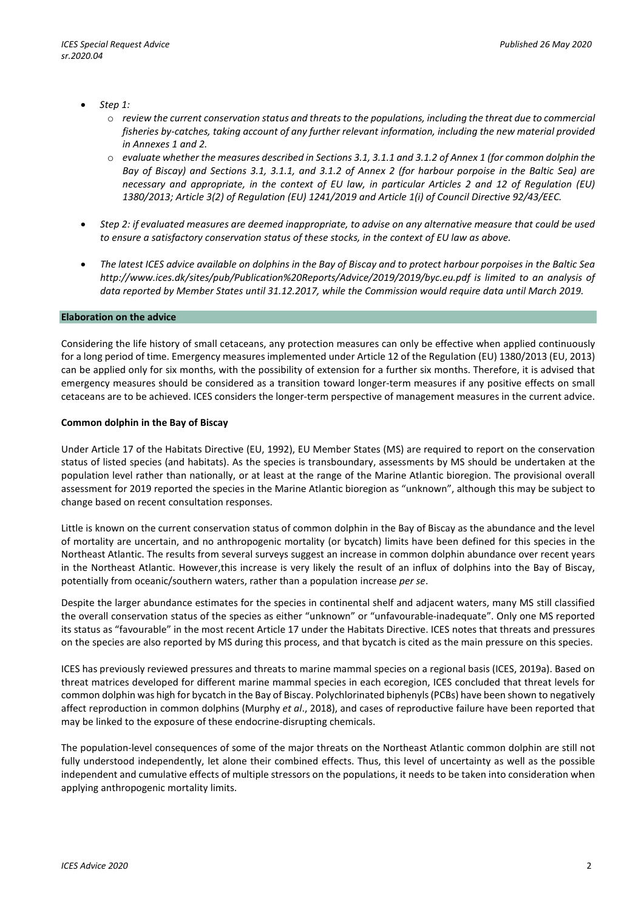- *Step 1:*
	- o *review the current conservation status and threats to the populations, including the threat due to commercial fisheries by-catches, taking account of any further relevant information, including the new material provided in Annexes 1 and 2.*
	- o *evaluate whether the measures described in Sections 3.1, 3.1.1 and 3.1.2 of Annex 1 (for common dolphin the Bay of Biscay) and Sections 3.1, 3.1.1, and 3.1.2 of Annex 2 (for harbour porpoise in the Baltic Sea) are necessary and appropriate, in the context of EU law, in particular Articles 2 and 12 of Regulation (EU) 1380/2013; Article 3(2) of Regulation (EU) 1241/2019 and Article 1(i) of Council Directive 92/43/EEC.*
- *Step 2: if evaluated measures are deemed inappropriate, to advise on any alternative measure that could be used to ensure a satisfactory conservation status of these stocks, in the context of EU law as above.*
- *The latest ICES advice available on dolphins in the Bay of Biscay and to protect harbour porpoises in the Baltic Sea http://www.ices.dk/sites/pub/Publication%20Reports/Advice/2019/2019/byc.eu.pdf is limited to an analysis of data reported by Member States until 31.12.2017, while the Commission would require data until March 2019.*

#### **Elaboration on the advice**

Considering the life history of small cetaceans, any protection measures can only be effective when applied continuously for a long period of time. Emergency measures implemented under Article 12 of the Regulation (EU) 1380/2013 (EU, 2013) can be applied only for six months, with the possibility of extension for a further six months. Therefore, it is advised that emergency measures should be considered as a transition toward longer-term measures if any positive effects on small cetaceans are to be achieved. ICES considers the longer-term perspective of management measures in the current advice.

#### **Common dolphin in the Bay of Biscay**

Under Article 17 of the Habitats Directive (EU, 1992), EU Member States (MS) are required to report on the conservation status of listed species (and habitats). As the species is transboundary, assessments by MS should be undertaken at the population level rather than nationally, or at least at the range of the Marine Atlantic bioregion. The provisional overall assessment for 2019 reported the species in the Marine Atlantic bioregion as "unknown", although this may be subject to change based on recent consultation responses.

Little is known on the current conservation status of common dolphin in the Bay of Biscay as the abundance and the level of mortality are uncertain, and no anthropogenic mortality (or bycatch) limits have been defined for this species in the Northeast Atlantic. The results from several surveys suggest an increase in common dolphin abundance over recent years in the Northeast Atlantic. However,this increase is very likely the result of an influx of dolphins into the Bay of Biscay, potentially from oceanic/southern waters, rather than a population increase *per se*.

Despite the larger abundance estimates for the species in continental shelf and adjacent waters, many MS still classified the overall conservation status of the species as either "unknown" or "unfavourable-inadequate". Only one MS reported its status as "favourable" in the most recent Article 17 under the Habitats Directive. ICES notes that threats and pressures on the species are also reported by MS during this process, and that bycatch is cited as the main pressure on this species.

ICES has previously reviewed pressures and threats to marine mammal species on a regional basis (ICES, 2019a). Based on threat matrices developed for different marine mammal species in each ecoregion, ICES concluded that threat levels for common dolphin was high for bycatch in the Bay of Biscay. Polychlorinated biphenyls (PCBs) have been shown to negatively affect reproduction in common dolphins (Murphy *et al*., 2018), and cases of reproductive failure have been reported that may be linked to the exposure of these endocrine-disrupting chemicals.

The population-level consequences of some of the major threats on the Northeast Atlantic common dolphin are still not fully understood independently, let alone their combined effects. Thus, this level of uncertainty as well as the possible independent and cumulative effects of multiple stressors on the populations, it needs to be taken into consideration when applying anthropogenic mortality limits.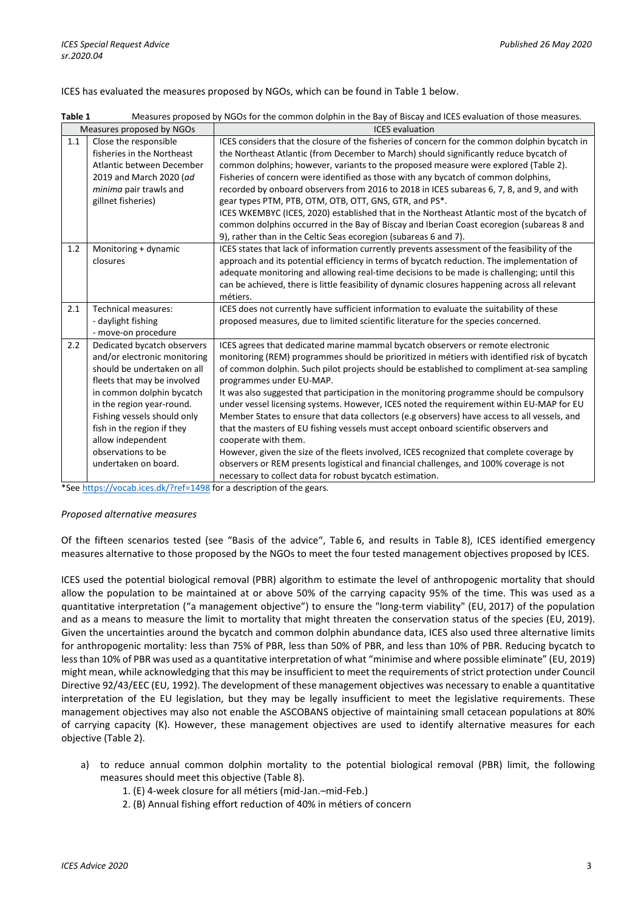## ICES has evaluated the measures proposed by NGOs, which can be found in Table 1 below.

| Table 1 |  |  | Measures proposed by NGOs for the common dolphin in the Bay of Biscay and ICES evaluation of those measures. |
|---------|--|--|--------------------------------------------------------------------------------------------------------------|
|---------|--|--|--------------------------------------------------------------------------------------------------------------|

| Measures proposed by NGOs |                                                                                                                                                                                                                                                                                                                     | <b>ICES</b> evaluation                                                                                                                                                                                                                                                                                                                                                                                                                                                                                                                                                                                                                                                                                                                                                                                                                                                                                                                                                |  |  |  |  |
|---------------------------|---------------------------------------------------------------------------------------------------------------------------------------------------------------------------------------------------------------------------------------------------------------------------------------------------------------------|-----------------------------------------------------------------------------------------------------------------------------------------------------------------------------------------------------------------------------------------------------------------------------------------------------------------------------------------------------------------------------------------------------------------------------------------------------------------------------------------------------------------------------------------------------------------------------------------------------------------------------------------------------------------------------------------------------------------------------------------------------------------------------------------------------------------------------------------------------------------------------------------------------------------------------------------------------------------------|--|--|--|--|
| 1.1                       | Close the responsible<br>fisheries in the Northeast                                                                                                                                                                                                                                                                 | ICES considers that the closure of the fisheries of concern for the common dolphin bycatch in<br>the Northeast Atlantic (from December to March) should significantly reduce bycatch of                                                                                                                                                                                                                                                                                                                                                                                                                                                                                                                                                                                                                                                                                                                                                                               |  |  |  |  |
|                           | Atlantic between December<br>2019 and March 2020 (ad<br>minima pair trawls and<br>gillnet fisheries)                                                                                                                                                                                                                | common dolphins; however, variants to the proposed measure were explored (Table 2).<br>Fisheries of concern were identified as those with any bycatch of common dolphins,<br>recorded by onboard observers from 2016 to 2018 in ICES subareas 6, 7, 8, and 9, and with<br>gear types PTM, PTB, OTM, OTB, OTT, GNS, GTR, and PS*.<br>ICES WKEMBYC (ICES, 2020) established that in the Northeast Atlantic most of the bycatch of<br>common dolphins occurred in the Bay of Biscay and Iberian Coast ecoregion (subareas 8 and<br>9), rather than in the Celtic Seas ecoregion (subareas 6 and 7).                                                                                                                                                                                                                                                                                                                                                                      |  |  |  |  |
| 1.2                       | Monitoring + dynamic<br>closures                                                                                                                                                                                                                                                                                    | ICES states that lack of information currently prevents assessment of the feasibility of the<br>approach and its potential efficiency in terms of bycatch reduction. The implementation of<br>adequate monitoring and allowing real-time decisions to be made is challenging; until this<br>can be achieved, there is little feasibility of dynamic closures happening across all relevant<br>métiers.                                                                                                                                                                                                                                                                                                                                                                                                                                                                                                                                                                |  |  |  |  |
| 2.1                       | <b>Technical measures:</b><br>- daylight fishing<br>- move-on procedure                                                                                                                                                                                                                                             | ICES does not currently have sufficient information to evaluate the suitability of these<br>proposed measures, due to limited scientific literature for the species concerned.                                                                                                                                                                                                                                                                                                                                                                                                                                                                                                                                                                                                                                                                                                                                                                                        |  |  |  |  |
| 2.2                       | Dedicated bycatch observers<br>and/or electronic monitoring<br>should be undertaken on all<br>fleets that may be involved<br>in common dolphin bycatch<br>in the region year-round.<br>Fishing vessels should only<br>fish in the region if they<br>allow independent<br>observations to be<br>undertaken on board. | ICES agrees that dedicated marine mammal bycatch observers or remote electronic<br>monitoring (REM) programmes should be prioritized in métiers with identified risk of bycatch<br>of common dolphin. Such pilot projects should be established to compliment at-sea sampling<br>programmes under EU-MAP.<br>It was also suggested that participation in the monitoring programme should be compulsory<br>under vessel licensing systems. However, ICES noted the requirement within EU-MAP for EU<br>Member States to ensure that data collectors (e.g observers) have access to all vessels, and<br>that the masters of EU fishing vessels must accept onboard scientific observers and<br>cooperate with them.<br>However, given the size of the fleets involved, ICES recognized that complete coverage by<br>observers or REM presents logistical and financial challenges, and 100% coverage is not<br>necessary to collect data for robust bycatch estimation. |  |  |  |  |

\*Se[e https://vocab.ices.dk/?ref=1498](https://vocab.ices.dk/?ref=1498) for a description of the gears.

#### *Proposed alternative measures*

Of the fifteen scenarios tested (see "Basis of the advice", Table 6, and results in Table 8), ICES identified emergency measures alternative to those proposed by the NGOs to meet the four tested management objectives proposed by ICES.

ICES used the potential biological removal (PBR) algorithm to estimate the level of anthropogenic mortality that should allow the population to be maintained at or above 50% of the carrying capacity 95% of the time. This was used as a quantitative interpretation ("a management objective") to ensure the "long-term viability" (EU, 2017) of the population and as a means to measure the limit to mortality that might threaten the conservation status of the species (EU, 2019). Given the uncertainties around the bycatch and common dolphin abundance data, ICES also used three alternative limits for anthropogenic mortality: less than 75% of PBR, less than 50% of PBR, and less than 10% of PBR. Reducing bycatch to less than 10% of PBR was used as a quantitative interpretation of what "minimise and where possible eliminate" (EU, 2019) might mean, while acknowledging that this may be insufficient to meet the requirements of strict protection under Council Directive 92/43/EEC (EU, 1992). The development of these management objectives was necessary to enable a quantitative interpretation of the EU legislation, but they may be legally insufficient to meet the legislative requirements. These management objectives may also not enable the ASCOBANS objective of maintaining small cetacean populations at 80% of carrying capacity (K). However, these management objectives are used to identify alternative measures for each objective (Table 2).

- a) to reduce annual common dolphin mortality to the potential biological removal (PBR) limit, the following measures should meet this objective (Table 8).
	- 1. (E) 4-week closure for all métiers (mid-Jan.–mid-Feb.)
	- 2. (B) Annual fishing effort reduction of 40% in métiers of concern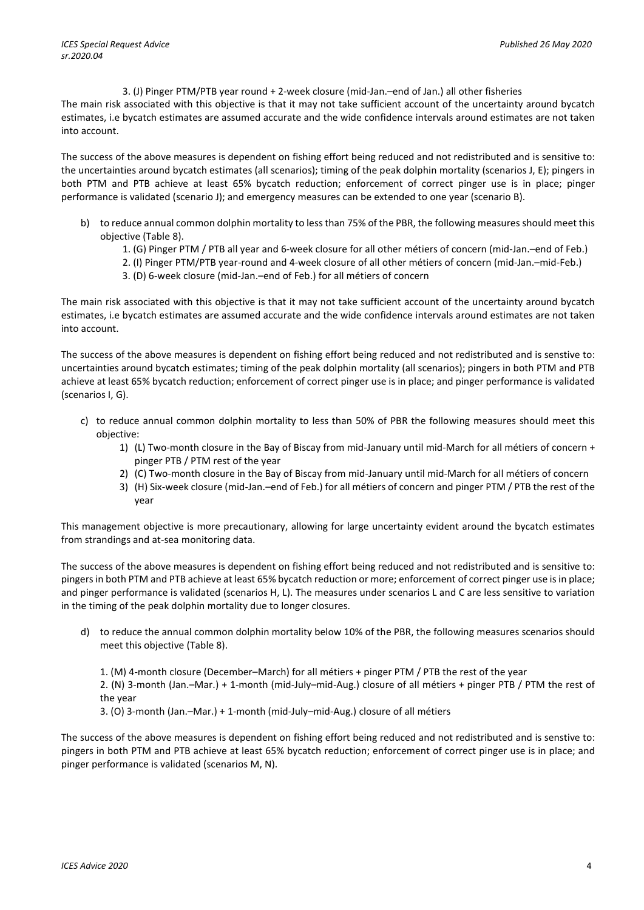3. (J) Pinger PTM/PTB year round + 2-week closure (mid-Jan.–end of Jan.) all other fisheries

The main risk associated with this objective is that it may not take sufficient account of the uncertainty around bycatch estimates, i.e bycatch estimates are assumed accurate and the wide confidence intervals around estimates are not taken into account.

The success of the above measures is dependent on fishing effort being reduced and not redistributed and is sensitive to: the uncertainties around bycatch estimates (all scenarios); timing of the peak dolphin mortality (scenarios J, E); pingers in both PTM and PTB achieve at least 65% bycatch reduction; enforcement of correct pinger use is in place; pinger performance is validated (scenario J); and emergency measures can be extended to one year (scenario B).

- b) to reduce annual common dolphin mortality to less than 75% of the PBR, the following measures should meet this objective (Table 8).
	- 1. (G) Pinger PTM / PTB all year and 6-week closure for all other métiers of concern (mid-Jan.–end of Feb.)
	- 2. (I) Pinger PTM/PTB year-round and 4-week closure of all other métiers of concern (mid-Jan.–mid-Feb.)
	- 3. (D) 6-week closure (mid-Jan.–end of Feb.) for all métiers of concern

The main risk associated with this objective is that it may not take sufficient account of the uncertainty around bycatch estimates, i.e bycatch estimates are assumed accurate and the wide confidence intervals around estimates are not taken into account.

The success of the above measures is dependent on fishing effort being reduced and not redistributed and is senstive to: uncertainties around bycatch estimates; timing of the peak dolphin mortality (all scenarios); pingers in both PTM and PTB achieve at least 65% bycatch reduction; enforcement of correct pinger use is in place; and pinger performance is validated (scenarios I, G).

- c) to reduce annual common dolphin mortality to less than 50% of PBR the following measures should meet this objective:
	- 1) (L) Two-month closure in the Bay of Biscay from mid-January until mid-March for all métiers of concern + pinger PTB / PTM rest of the year
	- 2) (C) Two-month closure in the Bay of Biscay from mid-January until mid-March for all métiers of concern
	- 3) (H) Six-week closure (mid-Jan.–end of Feb.) for all métiers of concern and pinger PTM / PTB the rest of the year

This management objective is more precautionary, allowing for large uncertainty evident around the bycatch estimates from strandings and at-sea monitoring data.

The success of the above measures is dependent on fishing effort being reduced and not redistributed and is sensitive to: pingers in both PTM and PTB achieve at least 65% bycatch reduction or more; enforcement of correct pinger use is in place; and pinger performance is validated (scenarios H, L). The measures under scenarios L and C are less sensitive to variation in the timing of the peak dolphin mortality due to longer closures.

d) to reduce the annual common dolphin mortality below 10% of the PBR, the following measures scenarios should meet this objective (Table 8).

1. (M) 4-month closure (December–March) for all métiers + pinger PTM / PTB the rest of the year 2. (N) 3-month (Jan.–Mar.) + 1-month (mid-July–mid-Aug.) closure of all métiers + pinger PTB / PTM the rest of the year

3. (O) 3-month (Jan.–Mar.) + 1-month (mid-July–mid-Aug.) closure of all métiers

The success of the above measures is dependent on fishing effort being reduced and not redistributed and is senstive to: pingers in both PTM and PTB achieve at least 65% bycatch reduction; enforcement of correct pinger use is in place; and pinger performance is validated (scenarios M, N).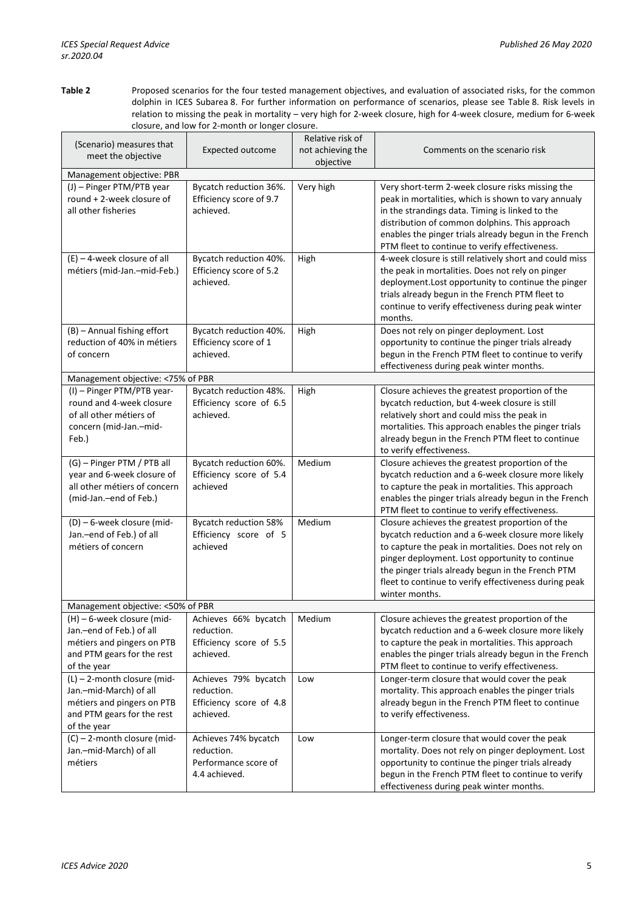**Table 2** Proposed scenarios for the four tested management objectives, and evaluation of associated risks, for the common dolphin in ICES Subarea 8. For further information on performance of scenarios, please see Table 8. Risk levels in relation to missing the peak in mortality – very high for 2-week closure, high for 4-week closure, medium for 6-week closure, and low for 2-month or longer closure.

| (Scenario) measures that<br>meet the objective                                                                                    | Expected outcome                                                            | Relative risk of<br>not achieving the<br>objective | Comments on the scenario risk                                                                                                                                                                                                                                                                                                                    |  |  |
|-----------------------------------------------------------------------------------------------------------------------------------|-----------------------------------------------------------------------------|----------------------------------------------------|--------------------------------------------------------------------------------------------------------------------------------------------------------------------------------------------------------------------------------------------------------------------------------------------------------------------------------------------------|--|--|
| Management objective: PBR                                                                                                         |                                                                             |                                                    |                                                                                                                                                                                                                                                                                                                                                  |  |  |
| (J) - Pinger PTM/PTB year<br>round + 2-week closure of<br>all other fisheries                                                     | Bycatch reduction 36%.<br>Efficiency score of 9.7<br>achieved.              | Very high                                          | Very short-term 2-week closure risks missing the<br>peak in mortalities, which is shown to vary annualy<br>in the strandings data. Timing is linked to the<br>distribution of common dolphins. This approach<br>enables the pinger trials already begun in the French<br>PTM fleet to continue to verify effectiveness.                          |  |  |
| $(E) - 4$ -week closure of all<br>métiers (mid-Jan.-mid-Feb.)                                                                     | Bycatch reduction 40%.<br>Efficiency score of 5.2<br>achieved.              | High                                               | 4-week closure is still relatively short and could miss<br>the peak in mortalities. Does not rely on pinger<br>deployment. Lost opportunity to continue the pinger<br>trials already begun in the French PTM fleet to<br>continue to verify effectiveness during peak winter<br>months.                                                          |  |  |
| (B) - Annual fishing effort<br>reduction of 40% in métiers<br>of concern                                                          | Bycatch reduction 40%.<br>Efficiency score of 1<br>achieved.                | High                                               | Does not rely on pinger deployment. Lost<br>opportunity to continue the pinger trials already<br>begun in the French PTM fleet to continue to verify<br>effectiveness during peak winter months.                                                                                                                                                 |  |  |
| Management objective: <75% of PBR                                                                                                 |                                                                             |                                                    |                                                                                                                                                                                                                                                                                                                                                  |  |  |
| (I) - Pinger PTM/PTB year-<br>round and 4-week closure<br>of all other métiers of<br>concern (mid-Jan.-mid-<br>Feb.)              | Bycatch reduction 48%.<br>Efficiency score of 6.5<br>achieved.              | High                                               | Closure achieves the greatest proportion of the<br>bycatch reduction, but 4-week closure is still<br>relatively short and could miss the peak in<br>mortalities. This approach enables the pinger trials<br>already begun in the French PTM fleet to continue<br>to verify effectiveness.                                                        |  |  |
| (G) - Pinger PTM / PTB all<br>year and 6-week closure of<br>all other métiers of concern<br>(mid-Jan.-end of Feb.)                | Bycatch reduction 60%.<br>Efficiency score of 5.4<br>achieved               | Medium                                             | Closure achieves the greatest proportion of the<br>bycatch reduction and a 6-week closure more likely<br>to capture the peak in mortalities. This approach<br>enables the pinger trials already begun in the French<br>PTM fleet to continue to verify effectiveness.                                                                            |  |  |
| (D) - 6-week closure (mid-<br>Jan.-end of Feb.) of all<br>métiers of concern                                                      | Bycatch reduction 58%<br>Efficiency score of 5<br>achieved                  | Medium                                             | Closure achieves the greatest proportion of the<br>bycatch reduction and a 6-week closure more likely<br>to capture the peak in mortalities. Does not rely on<br>pinger deployment. Lost opportunity to continue<br>the pinger trials already begun in the French PTM<br>fleet to continue to verify effectiveness during peak<br>winter months. |  |  |
| Management objective: <50% of PBR                                                                                                 |                                                                             |                                                    |                                                                                                                                                                                                                                                                                                                                                  |  |  |
| (H) – 6-week closure (mid-<br>Jan.-end of Feb.) of all<br>métiers and pingers on PTB<br>and PTM gears for the rest<br>of the year | Achieves 66% bycatch<br>reduction.<br>Efficiency score of 5.5<br>achieved.  | Medium                                             | Closure achieves the greatest proportion of the<br>bycatch reduction and a 6-week closure more likely<br>to capture the peak in mortalities. This approach<br>enables the pinger trials already begun in the French<br>PTM fleet to continue to verify effectiveness.                                                                            |  |  |
| (L) - 2-month closure (mid-<br>Jan.-mid-March) of all<br>métiers and pingers on PTB<br>and PTM gears for the rest<br>of the year  | Achieves 79% bycatch<br>reduction.<br>Efficiency score of 4.8<br>achieved.  | Low                                                | Longer-term closure that would cover the peak<br>mortality. This approach enables the pinger trials<br>already begun in the French PTM fleet to continue<br>to verify effectiveness.                                                                                                                                                             |  |  |
| (C) - 2-month closure (mid-<br>Jan.-mid-March) of all<br>métiers                                                                  | Achieves 74% bycatch<br>reduction.<br>Performance score of<br>4.4 achieved. | Low                                                | Longer-term closure that would cover the peak<br>mortality. Does not rely on pinger deployment. Lost<br>opportunity to continue the pinger trials already<br>begun in the French PTM fleet to continue to verify<br>effectiveness during peak winter months.                                                                                     |  |  |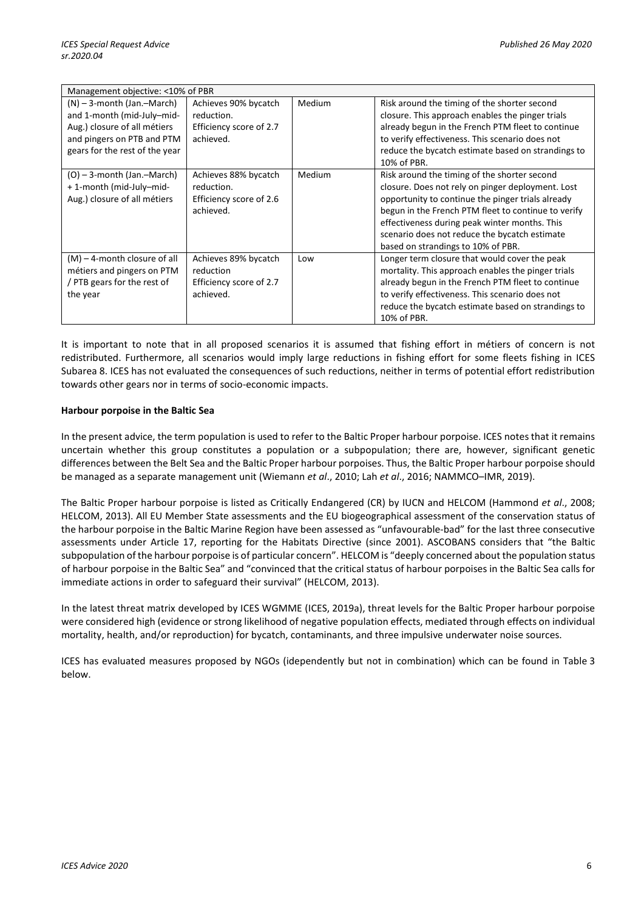|                                                                                                                                                            | Management objective: <10% of PBR                                          |        |                                                                                                                                                                                                                                                                                                                                                       |  |  |  |  |  |
|------------------------------------------------------------------------------------------------------------------------------------------------------------|----------------------------------------------------------------------------|--------|-------------------------------------------------------------------------------------------------------------------------------------------------------------------------------------------------------------------------------------------------------------------------------------------------------------------------------------------------------|--|--|--|--|--|
| $(N)$ – 3-month (Jan.-March)<br>and 1-month (mid-July-mid-<br>Aug.) closure of all métiers<br>and pingers on PTB and PTM<br>gears for the rest of the year | Achieves 90% bycatch<br>reduction.<br>Efficiency score of 2.7<br>achieved. | Medium | Risk around the timing of the shorter second<br>closure. This approach enables the pinger trials<br>already begun in the French PTM fleet to continue<br>to verify effectiveness. This scenario does not<br>reduce the bycatch estimate based on strandings to<br>10% of PBR.                                                                         |  |  |  |  |  |
| $(O)$ – 3-month (Jan.-March)<br>+1-month (mid-July-mid-<br>Aug.) closure of all métiers                                                                    | Achieves 88% bycatch<br>reduction.<br>Efficiency score of 2.6<br>achieved. | Medium | Risk around the timing of the shorter second<br>closure. Does not rely on pinger deployment. Lost<br>opportunity to continue the pinger trials already<br>begun in the French PTM fleet to continue to verify<br>effectiveness during peak winter months. This<br>scenario does not reduce the bycatch estimate<br>based on strandings to 10% of PBR. |  |  |  |  |  |
| $(M)$ – 4-month closure of all<br>métiers and pingers on PTM<br>/ PTB gears for the rest of<br>the year                                                    | Achieves 89% bycatch<br>reduction<br>Efficiency score of 2.7<br>achieved.  | Low    | Longer term closure that would cover the peak<br>mortality. This approach enables the pinger trials<br>already begun in the French PTM fleet to continue<br>to verify effectiveness. This scenario does not<br>reduce the bycatch estimate based on strandings to<br>10% of PBR.                                                                      |  |  |  |  |  |

It is important to note that in all proposed scenarios it is assumed that fishing effort in métiers of concern is not redistributed. Furthermore, all scenarios would imply large reductions in fishing effort for some fleets fishing in ICES Subarea 8. ICES has not evaluated the consequences of such reductions, neither in terms of potential effort redistribution towards other gears nor in terms of socio-economic impacts.

# **Harbour porpoise in the Baltic Sea**

In the present advice, the term population is used to refer to the Baltic Proper harbour porpoise. ICES notes that it remains uncertain whether this group constitutes a population or a subpopulation; there are, however, significant genetic differences between the Belt Sea and the Baltic Proper harbour porpoises. Thus, the Baltic Proper harbour porpoise should be managed as a separate management unit (Wiemann *et al*., 2010; Lah *et al*., 2016; NAMMCO–IMR, 2019).

The Baltic Proper harbour porpoise is listed as Critically Endangered (CR) by IUCN and HELCOM (Hammond *et al*., 2008; HELCOM, 2013). All EU Member State assessments and the EU biogeographical assessment of the conservation status of the harbour porpoise in the Baltic Marine Region have been assessed as "unfavourable-bad" for the last three consecutive assessments under Article 17, reporting for the Habitats Directive (since 2001). ASCOBANS considers that "the Baltic subpopulation of the harbour porpoise is of particular concern". HELCOM is "deeply concerned about the population status of harbour porpoise in the Baltic Sea" and "convinced that the critical status of harbour porpoises in the Baltic Sea calls for immediate actions in order to safeguard their survival" (HELCOM, 2013).

In the latest threat matrix developed by ICES WGMME (ICES, 2019a), threat levels for the Baltic Proper harbour porpoise were considered high (evidence or strong likelihood of negative population effects, mediated through effects on individual mortality, health, and/or reproduction) for bycatch, contaminants, and three impulsive underwater noise sources.

ICES has evaluated measures proposed by NGOs (idependently but not in combination) which can be found in Table 3 below.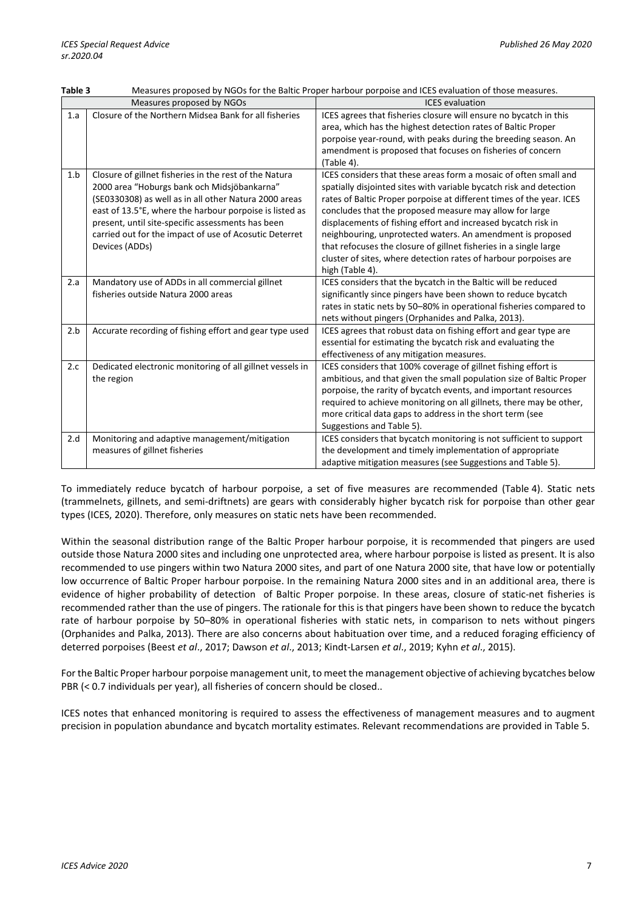| Table 3 | Measures proposed by NGOs for the Baltic Proper harbour porpoise and ICES evaluation of those measures.                                                                                                                                                                                                                                                    |                                                                                                                                                                                                                                                                                                                                                                                                                                                                                                                                                                       |  |  |  |  |  |  |
|---------|------------------------------------------------------------------------------------------------------------------------------------------------------------------------------------------------------------------------------------------------------------------------------------------------------------------------------------------------------------|-----------------------------------------------------------------------------------------------------------------------------------------------------------------------------------------------------------------------------------------------------------------------------------------------------------------------------------------------------------------------------------------------------------------------------------------------------------------------------------------------------------------------------------------------------------------------|--|--|--|--|--|--|
|         | Measures proposed by NGOs                                                                                                                                                                                                                                                                                                                                  | <b>ICES</b> evaluation                                                                                                                                                                                                                                                                                                                                                                                                                                                                                                                                                |  |  |  |  |  |  |
| 1.a     | Closure of the Northern Midsea Bank for all fisheries                                                                                                                                                                                                                                                                                                      | ICES agrees that fisheries closure will ensure no bycatch in this<br>area, which has the highest detection rates of Baltic Proper<br>porpoise year-round, with peaks during the breeding season. An<br>amendment is proposed that focuses on fisheries of concern<br>(Table 4).                                                                                                                                                                                                                                                                                       |  |  |  |  |  |  |
| 1.b     | Closure of gillnet fisheries in the rest of the Natura<br>2000 area "Hoburgs bank och Midsjöbankarna"<br>(SE0330308) as well as in all other Natura 2000 areas<br>east of 13.5°E, where the harbour porpoise is listed as<br>present, until site-specific assessments has been<br>carried out for the impact of use of Acosutic Deterret<br>Devices (ADDs) | ICES considers that these areas form a mosaic of often small and<br>spatially disjointed sites with variable bycatch risk and detection<br>rates of Baltic Proper porpoise at different times of the year. ICES<br>concludes that the proposed measure may allow for large<br>displacements of fishing effort and increased bycatch risk in<br>neighbouring, unprotected waters. An amendment is proposed<br>that refocuses the closure of gillnet fisheries in a single large<br>cluster of sites, where detection rates of harbour porpoises are<br>high (Table 4). |  |  |  |  |  |  |
| 2.a     | Mandatory use of ADDs in all commercial gillnet<br>fisheries outside Natura 2000 areas                                                                                                                                                                                                                                                                     | ICES considers that the bycatch in the Baltic will be reduced<br>significantly since pingers have been shown to reduce bycatch<br>rates in static nets by 50-80% in operational fisheries compared to<br>nets without pingers (Orphanides and Palka, 2013).                                                                                                                                                                                                                                                                                                           |  |  |  |  |  |  |
| 2.b     | Accurate recording of fishing effort and gear type used                                                                                                                                                                                                                                                                                                    | ICES agrees that robust data on fishing effort and gear type are<br>essential for estimating the bycatch risk and evaluating the<br>effectiveness of any mitigation measures.                                                                                                                                                                                                                                                                                                                                                                                         |  |  |  |  |  |  |
| 2.c     | Dedicated electronic monitoring of all gillnet vessels in<br>the region                                                                                                                                                                                                                                                                                    | ICES considers that 100% coverage of gillnet fishing effort is<br>ambitious, and that given the small population size of Baltic Proper<br>porpoise, the rarity of bycatch events, and important resources<br>required to achieve monitoring on all gillnets, there may be other,<br>more critical data gaps to address in the short term (see<br>Suggestions and Table 5).                                                                                                                                                                                            |  |  |  |  |  |  |
| 2.d     | Monitoring and adaptive management/mitigation<br>measures of gillnet fisheries                                                                                                                                                                                                                                                                             | ICES considers that bycatch monitoring is not sufficient to support<br>the development and timely implementation of appropriate<br>adaptive mitigation measures (see Suggestions and Table 5).                                                                                                                                                                                                                                                                                                                                                                        |  |  |  |  |  |  |

To immediately reduce bycatch of harbour porpoise, a set of five measures are recommended (Table 4). Static nets (trammelnets, gillnets, and semi-driftnets) are gears with considerably higher bycatch risk for porpoise than other gear types (ICES, 2020). Therefore, only measures on static nets have been recommended.

Within the seasonal distribution range of the Baltic Proper harbour porpoise, it is recommended that pingers are used outside those Natura 2000 sites and including one unprotected area, where harbour porpoise is listed as present. It is also recommended to use pingers within two Natura 2000 sites, and part of one Natura 2000 site, that have low or potentially low occurrence of Baltic Proper harbour porpoise. In the remaining Natura 2000 sites and in an additional area, there is evidence of higher probability of detection of Baltic Proper porpoise. In these areas, closure of static-net fisheries is recommended rather than the use of pingers. The rationale for this is that pingers have been shown to reduce the bycatch rate of harbour porpoise by 50–80% in operational fisheries with static nets, in comparison to nets without pingers (Orphanides and Palka, 2013). There are also concerns about habituation over time, and a reduced foraging efficiency of deterred porpoises (Beest *et al*., 2017; Dawson *et al*., 2013; Kindt-Larsen *et al*., 2019; Kyhn *et al*., 2015).

For the Baltic Proper harbour porpoise management unit, to meet the management objective of achieving bycatches below PBR (< 0.7 individuals per year), all fisheries of concern should be closed..

ICES notes that enhanced monitoring is required to assess the effectiveness of management measures and to augment precision in population abundance and bycatch mortality estimates. Relevant recommendations are provided in Table 5.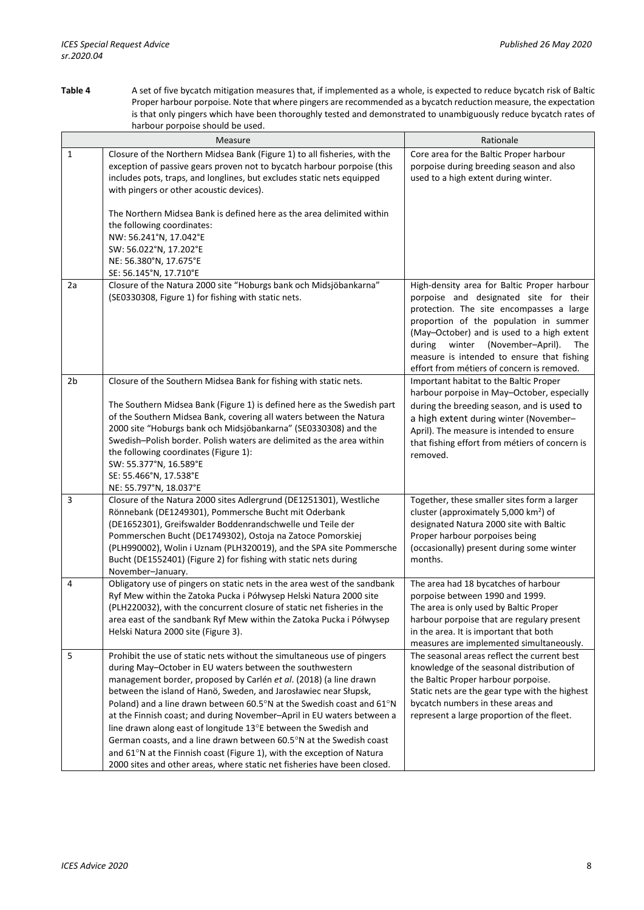**Table 4** A set of five bycatch mitigation measures that, if implemented as a whole, is expected to reduce bycatch risk of Baltic Proper harbour porpoise. Note that where pingers are recommended as a bycatch reduction measure, the expectation is that only pingers which have been thoroughly tested and demonstrated to unambiguously reduce bycatch rates of harbour porpoise should be used.

|                | riarbour porpoise should be used.                                                                                                                                                                                                                                                                                                                                                                                                                                                                                                                                                                                                                                                                                               |                                                                                                                                                                                                                                                                                                                                                                 |
|----------------|---------------------------------------------------------------------------------------------------------------------------------------------------------------------------------------------------------------------------------------------------------------------------------------------------------------------------------------------------------------------------------------------------------------------------------------------------------------------------------------------------------------------------------------------------------------------------------------------------------------------------------------------------------------------------------------------------------------------------------|-----------------------------------------------------------------------------------------------------------------------------------------------------------------------------------------------------------------------------------------------------------------------------------------------------------------------------------------------------------------|
|                | Measure                                                                                                                                                                                                                                                                                                                                                                                                                                                                                                                                                                                                                                                                                                                         | Rationale                                                                                                                                                                                                                                                                                                                                                       |
| 1              | Closure of the Northern Midsea Bank (Figure 1) to all fisheries, with the<br>exception of passive gears proven not to bycatch harbour porpoise (this<br>includes pots, traps, and longlines, but excludes static nets equipped<br>with pingers or other acoustic devices).<br>The Northern Midsea Bank is defined here as the area delimited within<br>the following coordinates:<br>NW: 56.241°N, 17.042°E<br>SW: 56.022°N, 17.202°E<br>NE: 56.380°N, 17.675°E                                                                                                                                                                                                                                                                 | Core area for the Baltic Proper harbour<br>porpoise during breeding season and also<br>used to a high extent during winter.                                                                                                                                                                                                                                     |
|                | SE: 56.145°N, 17.710°E                                                                                                                                                                                                                                                                                                                                                                                                                                                                                                                                                                                                                                                                                                          |                                                                                                                                                                                                                                                                                                                                                                 |
| 2a             | Closure of the Natura 2000 site "Hoburgs bank och Midsjöbankarna"<br>(SE0330308, Figure 1) for fishing with static nets.                                                                                                                                                                                                                                                                                                                                                                                                                                                                                                                                                                                                        | High-density area for Baltic Proper harbour<br>porpoise and designated site for their<br>protection. The site encompasses a large<br>proportion of the population in summer<br>(May-October) and is used to a high extent<br>during winter (November-April).<br>The<br>measure is intended to ensure that fishing<br>effort from métiers of concern is removed. |
| 2 <sub>b</sub> | Closure of the Southern Midsea Bank for fishing with static nets.<br>The Southern Midsea Bank (Figure 1) is defined here as the Swedish part<br>of the Southern Midsea Bank, covering all waters between the Natura<br>2000 site "Hoburgs bank och Midsjöbankarna" (SE0330308) and the<br>Swedish-Polish border. Polish waters are delimited as the area within<br>the following coordinates (Figure 1):<br>SW: 55.377°N, 16.589°E<br>SE: 55.466°N, 17.538°E<br>NE: 55.797°N, 18.037°E                                                                                                                                                                                                                                          | Important habitat to the Baltic Proper<br>harbour porpoise in May-October, especially<br>during the breeding season, and is used to<br>a high extent during winter (November-<br>April). The measure is intended to ensure<br>that fishing effort from métiers of concern is<br>removed.                                                                        |
| 3              | Closure of the Natura 2000 sites Adlergrund (DE1251301), Westliche<br>Rönnebank (DE1249301), Pommersche Bucht mit Oderbank<br>(DE1652301), Greifswalder Boddenrandschwelle und Teile der<br>Pommerschen Bucht (DE1749302), Ostoja na Zatoce Pomorskiej<br>(PLH990002), Wolin i Uznam (PLH320019), and the SPA site Pommersche<br>Bucht (DE1552401) (Figure 2) for fishing with static nets during<br>November-January.                                                                                                                                                                                                                                                                                                          | Together, these smaller sites form a larger<br>cluster (approximately 5,000 $km^2$ ) of<br>designated Natura 2000 site with Baltic<br>Proper harbour porpoises being<br>(occasionally) present during some winter<br>months.                                                                                                                                    |
| 4              | Obligatory use of pingers on static nets in the area west of the sandbank<br>Ryf Mew within the Zatoka Pucka i Półwysep Helski Natura 2000 site<br>(PLH220032), with the concurrent closure of static net fisheries in the<br>area east of the sandbank Ryf Mew within the Zatoka Pucka i Półwysep<br>Helski Natura 2000 site (Figure 3).                                                                                                                                                                                                                                                                                                                                                                                       | The area had 18 bycatches of harbour<br>porpoise between 1990 and 1999.<br>The area is only used by Baltic Proper<br>harbour porpoise that are regulary present<br>in the area. It is important that both<br>measures are implemented simultaneously.                                                                                                           |
| 5              | Prohibit the use of static nets without the simultaneous use of pingers<br>during May-October in EU waters between the southwestern<br>management border, proposed by Carlén et al. (2018) (a line drawn<br>between the island of Hanö, Sweden, and Jarosławiec near Słupsk,<br>Poland) and a line drawn between 60.5°N at the Swedish coast and 61°N<br>at the Finnish coast; and during November-April in EU waters between a<br>line drawn along east of longitude 13°E between the Swedish and<br>German coasts, and a line drawn between 60.5°N at the Swedish coast<br>and 61°N at the Finnish coast (Figure 1), with the exception of Natura<br>2000 sites and other areas, where static net fisheries have been closed. | The seasonal areas reflect the current best<br>knowledge of the seasonal distribution of<br>the Baltic Proper harbour porpoise.<br>Static nets are the gear type with the highest<br>bycatch numbers in these areas and<br>represent a large proportion of the fleet.                                                                                           |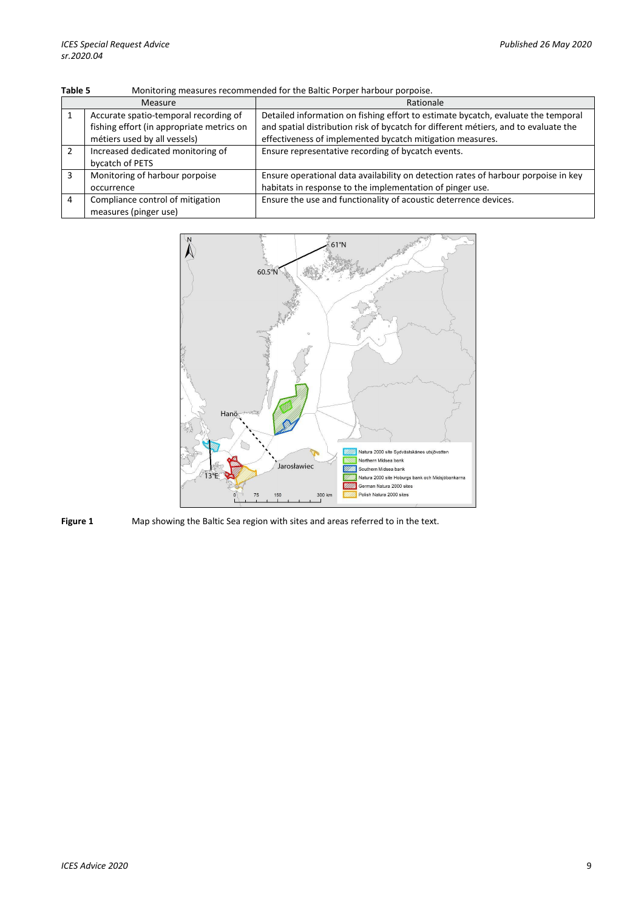| Monitoring measures recommended for the Baltic Porper harbour porpoise.<br>Table 5 |                                                                                                                    |                                                                                                                                                                                                                                       |  |  |  |  |  |  |
|------------------------------------------------------------------------------------|--------------------------------------------------------------------------------------------------------------------|---------------------------------------------------------------------------------------------------------------------------------------------------------------------------------------------------------------------------------------|--|--|--|--|--|--|
|                                                                                    | Measure                                                                                                            | Rationale                                                                                                                                                                                                                             |  |  |  |  |  |  |
|                                                                                    | Accurate spatio-temporal recording of<br>fishing effort (in appropriate metrics on<br>métiers used by all vessels) | Detailed information on fishing effort to estimate bycatch, evaluate the temporal<br>and spatial distribution risk of bycatch for different métiers, and to evaluate the<br>effectiveness of implemented bycatch mitigation measures. |  |  |  |  |  |  |
|                                                                                    | Increased dedicated monitoring of<br>bycatch of PETS                                                               | Ensure representative recording of bycatch events.                                                                                                                                                                                    |  |  |  |  |  |  |
| 3                                                                                  | Monitoring of harbour porpoise<br>occurrence                                                                       | Ensure operational data availability on detection rates of harbour porpoise in key<br>habitats in response to the implementation of pinger use.                                                                                       |  |  |  |  |  |  |
| 4                                                                                  | Compliance control of mitigation<br>measures (pinger use)                                                          | Ensure the use and functionality of acoustic deterrence devices.                                                                                                                                                                      |  |  |  |  |  |  |



**Figure 1** Map showing the Baltic Sea region with sites and areas referred to in the text.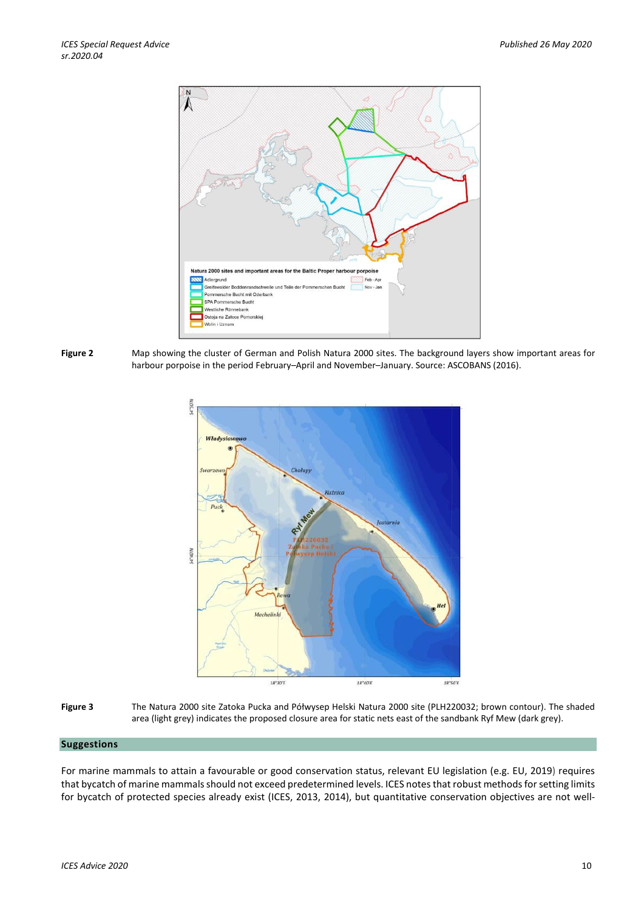

**Figure 2** Map showing the cluster of German and Polish Natura 2000 sites. The background layers show important areas for harbour porpoise in the period February–April and November–January. Source: ASCOBANS (2016).





## **Suggestions**

For marine mammals to attain a favourable or good conservation status, relevant EU legislation (e.g. EU, 2019) requires that bycatch of marine mammals should not exceed predetermined levels. ICES notes that robust methods for setting limits for bycatch of protected species already exist (ICES, 2013, 2014), but quantitative conservation objectives are not well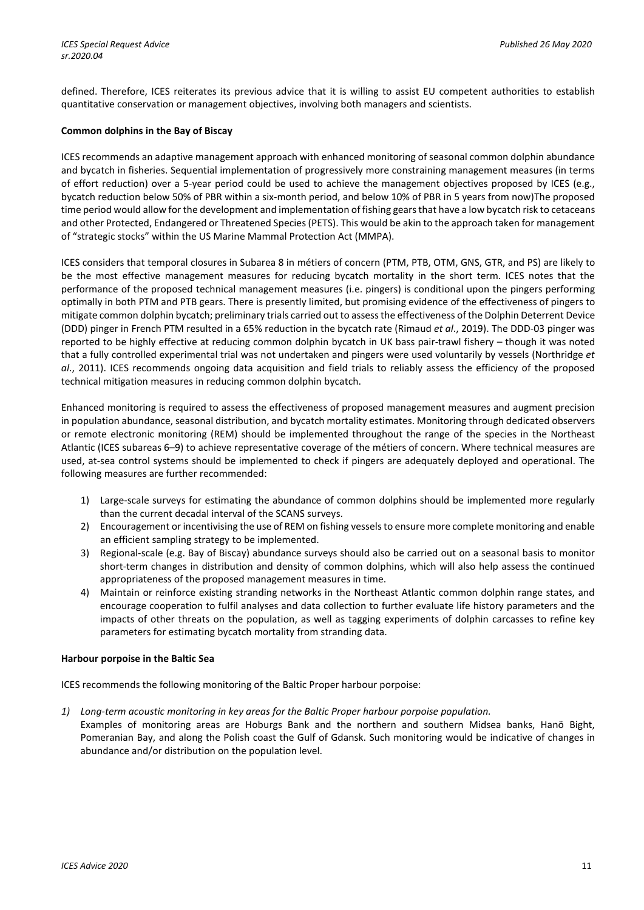defined. Therefore, ICES reiterates its previous advice that it is willing to assist EU competent authorities to establish quantitative conservation or management objectives, involving both managers and scientists.

# **Common dolphins in the Bay of Biscay**

ICES recommends an adaptive management approach with enhanced monitoring of seasonal common dolphin abundance and bycatch in fisheries. Sequential implementation of progressively more constraining management measures (in terms of effort reduction) over a 5-year period could be used to achieve the management objectives proposed by ICES (e.g., bycatch reduction below 50% of PBR within a six-month period, and below 10% of PBR in 5 years from now)The proposed time period would allow for the development and implementation of fishing gears that have a low bycatch risk to cetaceans and other Protected, Endangered or Threatened Species (PETS). This would be akin to the approach taken for management of "strategic stocks" within the US Marine Mammal Protection Act (MMPA).

ICES considers that temporal closures in Subarea 8 in métiers of concern (PTM, PTB, OTM, GNS, GTR, and PS) are likely to be the most effective management measures for reducing bycatch mortality in the short term. ICES notes that the performance of the proposed technical management measures (i.e. pingers) is conditional upon the pingers performing optimally in both PTM and PTB gears. There is presently limited, but promising evidence of the effectiveness of pingers to mitigate common dolphin bycatch; preliminary trials carried out to assess the effectiveness of the Dolphin Deterrent Device (DDD) pinger in French PTM resulted in a 65% reduction in the bycatch rate (Rimaud *et al*., 2019). The DDD-03 pinger was reported to be highly effective at reducing common dolphin bycatch in UK bass pair-trawl fishery – though it was noted that a fully controlled experimental trial was not undertaken and pingers were used voluntarily by vessels (Northridge *et al*., 2011). ICES recommends ongoing data acquisition and field trials to reliably assess the efficiency of the proposed technical mitigation measures in reducing common dolphin bycatch.

Enhanced monitoring is required to assess the effectiveness of proposed management measures and augment precision in population abundance, seasonal distribution, and bycatch mortality estimates. Monitoring through dedicated observers or remote electronic monitoring (REM) should be implemented throughout the range of the species in the Northeast Atlantic (ICES subareas 6–9) to achieve representative coverage of the métiers of concern. Where technical measures are used, at-sea control systems should be implemented to check if pingers are adequately deployed and operational. The following measures are further recommended:

- 1) Large-scale surveys for estimating the abundance of common dolphins should be implemented more regularly than the current decadal interval of the SCANS surveys.
- 2) Encouragement or incentivising the use of REM on fishing vessels to ensure more complete monitoring and enable an efficient sampling strategy to be implemented.
- 3) Regional-scale (e.g. Bay of Biscay) abundance surveys should also be carried out on a seasonal basis to monitor short-term changes in distribution and density of common dolphins, which will also help assess the continued appropriateness of the proposed management measures in time.
- 4) Maintain or reinforce existing stranding networks in the Northeast Atlantic common dolphin range states, and encourage cooperation to fulfil analyses and data collection to further evaluate life history parameters and the impacts of other threats on the population, as well as tagging experiments of dolphin carcasses to refine key parameters for estimating bycatch mortality from stranding data.

# **Harbour porpoise in the Baltic Sea**

ICES recommends the following monitoring of the Baltic Proper harbour porpoise:

*1) Long-term acoustic monitoring in key areas for the Baltic Proper harbour porpoise population.*

Examples of monitoring areas are Hoburgs Bank and the northern and southern Midsea banks, Hanö Bight, Pomeranian Bay, and along the Polish coast the Gulf of Gdansk. Such monitoring would be indicative of changes in abundance and/or distribution on the population level.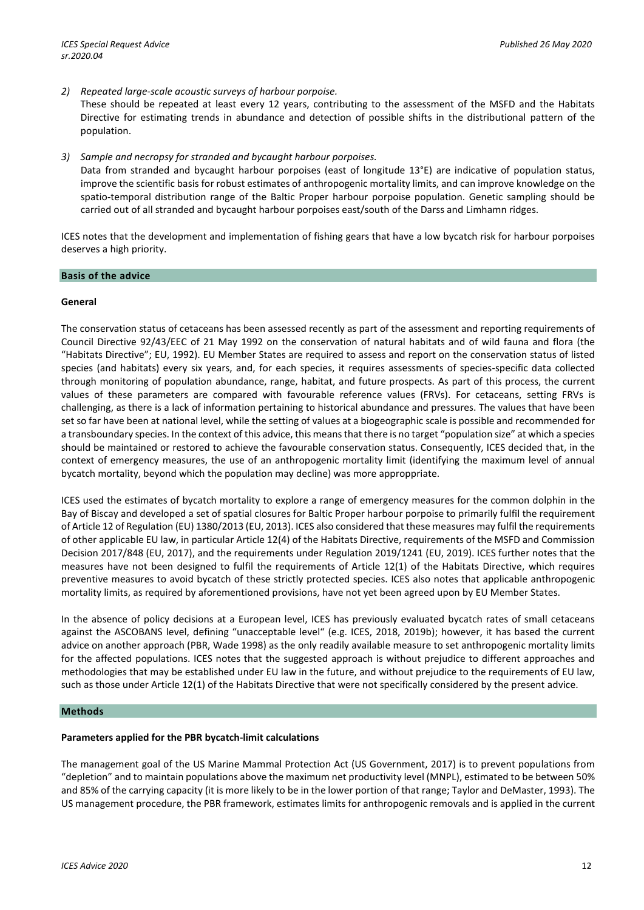*ICES Special Request Advice Published 26 May 2020 sr.2020.04* 

*2) Repeated large-scale acoustic surveys of harbour porpoise.*

These should be repeated at least every 12 years, contributing to the assessment of the MSFD and the Habitats Directive for estimating trends in abundance and detection of possible shifts in the distributional pattern of the population.

*3) Sample and necropsy for stranded and bycaught harbour porpoises.* 

Data from stranded and bycaught harbour porpoises (east of longitude 13°E) are indicative of population status, improve the scientific basis for robust estimates of anthropogenic mortality limits, and can improve knowledge on the spatio-temporal distribution range of the Baltic Proper harbour porpoise population. Genetic sampling should be carried out of all stranded and bycaught harbour porpoises east/south of the Darss and Limhamn ridges.

ICES notes that the development and implementation of fishing gears that have a low bycatch risk for harbour porpoises deserves a high priority.

#### **Basis of the advice**

# **General**

The conservation status of cetaceans has been assessed recently as part of the assessment and reporting requirements of Council Directive 92/43/EEC of 21 May 1992 on the conservation of natural habitats and of wild fauna and flora (the "Habitats Directive"; EU, 1992). EU Member States are required to assess and report on the conservation status of listed species (and habitats) every six years, and, for each species, it requires assessments of species-specific data collected through monitoring of population abundance, range, habitat, and future prospects. As part of this process, the current values of these parameters are compared with favourable reference values (FRVs). For cetaceans, setting FRVs is challenging, as there is a lack of information pertaining to historical abundance and pressures. The values that have been set so far have been at national level, while the setting of values at a biogeographic scale is possible and recommended for a transboundary species. In the context of this advice, this means that there is no target "population size" at which a species should be maintained or restored to achieve the favourable conservation status. Consequently, ICES decided that, in the context of emergency measures, the use of an anthropogenic mortality limit (identifying the maximum level of annual bycatch mortality, beyond which the population may decline) was more approppriate.

ICES used the estimates of bycatch mortality to explore a range of emergency measures for the common dolphin in the Bay of Biscay and developed a set of spatial closures for Baltic Proper harbour porpoise to primarily fulfil the requirement of Article 12 of Regulation (EU) 1380/2013 (EU, 2013). ICES also considered that these measures may fulfil the requirements of other applicable EU law, in particular Article 12(4) of the Habitats Directive, requirements of the MSFD and Commission Decision 2017/848 (EU, 2017), and the requirements under Regulation 2019/1241 (EU, 2019). ICES further notes that the measures have not been designed to fulfil the requirements of Article 12(1) of the Habitats Directive, which requires preventive measures to avoid bycatch of these strictly protected species. ICES also notes that applicable anthropogenic mortality limits, as required by aforementioned provisions, have not yet been agreed upon by EU Member States.

In the absence of policy decisions at a European level, ICES has previously evaluated bycatch rates of small cetaceans against the ASCOBANS level, defining "unacceptable level" (e.g. ICES, 2018, 2019b); however, it has based the current advice on another approach (PBR, Wade 1998) as the only readily available measure to set anthropogenic mortality limits for the affected populations. ICES notes that the suggested approach is without prejudice to different approaches and methodologies that may be established under EU law in the future, and without prejudice to the requirements of EU law, such as those under Article 12(1) of the Habitats Directive that were not specifically considered by the present advice.

#### **Methods**

# **Parameters applied for the PBR bycatch-limit calculations**

The management goal of the US Marine Mammal Protection Act (US Government, 2017) is to prevent populations from "depletion" and to maintain populations above the maximum net productivity level (MNPL), estimated to be between 50% and 85% of the carrying capacity (it is more likely to be in the lower portion of that range; Taylor and DeMaster, 1993). The US management procedure, the PBR framework, estimates limits for anthropogenic removals and is applied in the current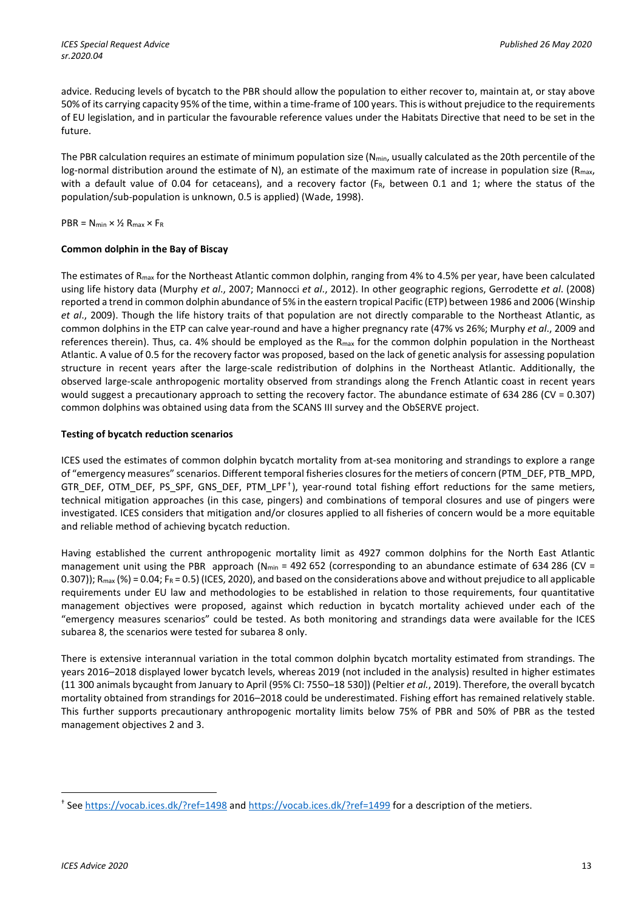advice. Reducing levels of bycatch to the PBR should allow the population to either recover to, maintain at, or stay above 50% of its carrying capacity 95% of the time, within a time-frame of 100 years. This is without prejudice to the requirements of EU legislation, and in particular the favourable reference values under the Habitats Directive that need to be set in the future.

The PBR calculation requires an estimate of minimum population size ( $N_{min}$ , usually calculated as the 20th percentile of the log-normal distribution around the estimate of N), an estimate of the maximum rate of increase in population size ( $R_{\text{max}}$ , with a default value of 0.04 for cetaceans), and a recovery factor ( $F_R$ , between 0.1 and 1; where the status of the population/sub-population is unknown, 0.5 is applied) (Wade, 1998).

 $PBR = N_{min} \times \frac{1}{2} R_{max} \times F_R$ 

# **Common dolphin in the Bay of Biscay**

The estimates of  $R_{max}$  for the Northeast Atlantic common dolphin, ranging from 4% to 4.5% per year, have been calculated using life history data (Murphy *et al*., 2007; Mannocci *et al*., 2012). In other geographic regions, Gerrodette *et al*. (2008) reported a trend in common dolphin abundance of 5% in the eastern tropical Pacific (ETP) between 1986 and 2006 (Winship *et al*., 2009). Though the life history traits of that population are not directly comparable to the Northeast Atlantic, as common dolphins in the ETP can calve year-round and have a higher pregnancy rate (47% vs 26%; Murphy *et al*., 2009 and references therein). Thus, ca. 4% should be employed as the  $R_{max}$  for the common dolphin population in the Northeast Atlantic. A value of 0.5 for the recovery factor was proposed, based on the lack of genetic analysis for assessing population structure in recent years after the large-scale redistribution of dolphins in the Northeast Atlantic. Additionally, the observed large-scale anthropogenic mortality observed from strandings along the French Atlantic coast in recent years would suggest a precautionary approach to setting the recovery factor. The abundance estimate of 634 286 (CV = 0.307) common dolphins was obtained using data from the SCANS III survey and the ObSERVE project.

# **Testing of bycatch reduction scenarios**

ICES used the estimates of common dolphin bycatch mortality from at-sea monitoring and strandings to explore a range of "emergency measures" scenarios. Different temporal fisheries closures for the metiers of concern (PTM\_DEF, PTB\_MPD, GTR\_DEF, OTM\_DEF, PS\_SPF, GNS\_DEF, PTM\_LPF † ), year-round total fishing effort reductions for the same metiers, technical mitigation approaches (in this case, pingers) and combinations of temporal closures and use of pingers were investigated. ICES considers that mitigation and/or closures applied to all fisheries of concern would be a more equitable and reliable method of achieving bycatch reduction.

Having established the current anthropogenic mortality limit as 4927 common dolphins for the North East Atlantic management unit using the PBR approach (N<sub>min</sub> = 492 652 (corresponding to an abundance estimate of 634 286 (CV = 0.307));  $R_{max}$  (%) = 0.04;  $F_R$  = 0.5) (ICES, 2020), and based on the considerations above and without prejudice to all applicable requirements under EU law and methodologies to be established in relation to those requirements, four quantitative management objectives were proposed, against which reduction in bycatch mortality achieved under each of the "emergency measures scenarios" could be tested. As both monitoring and strandings data were available for the ICES subarea 8, the scenarios were tested for subarea 8 only.

There is extensive interannual variation in the total common dolphin bycatch mortality estimated from strandings. The years 2016–2018 displayed lower bycatch levels, whereas 2019 (not included in the analysis) resulted in higher estimates (11 300 animals bycaught from January to April (95% CI: 7550–18 530]) (Peltier *et al.*, 2019). Therefore, the overall bycatch mortality obtained from strandings for 2016–2018 could be underestimated. Fishing effort has remained relatively stable. This further supports precautionary anthropogenic mortality limits below 75% of PBR and 50% of PBR as the tested management objectives 2 and 3.

 $\overline{\phantom{a}}$ 

<sup>†</sup> See<https://vocab.ices.dk/?ref=1498> and<https://vocab.ices.dk/?ref=1499> for a description of the metiers.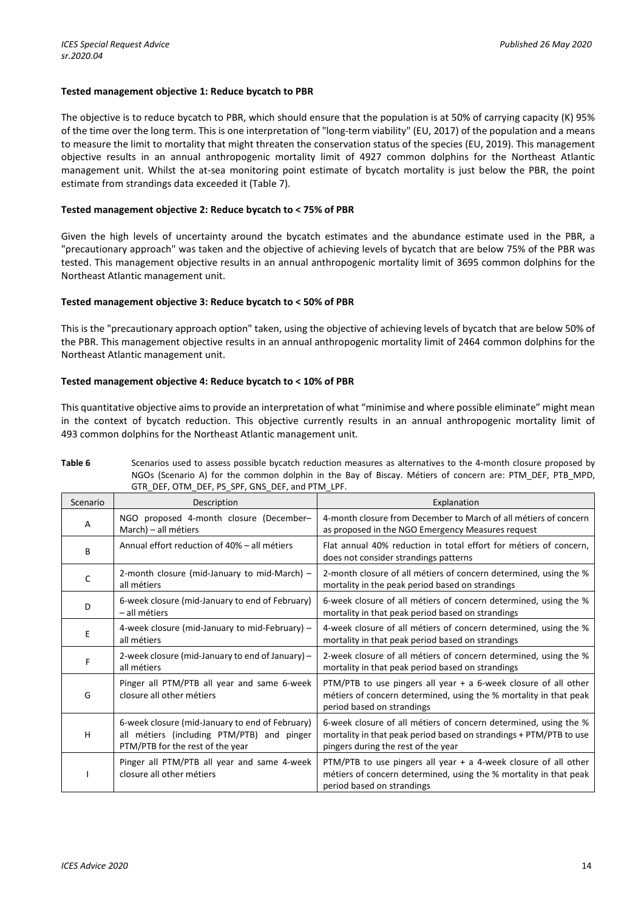# **Tested management objective 1: Reduce bycatch to PBR**

The objective is to reduce bycatch to PBR, which should ensure that the population is at 50% of carrying capacity (K) 95% of the time over the long term. This is one interpretation of "long-term viability" (EU, 2017) of the population and a means to measure the limit to mortality that might threaten the conservation status of the species (EU, 2019). This management objective results in an annual anthropogenic mortality limit of 4927 common dolphins for the Northeast Atlantic management unit. Whilst the at-sea monitoring point estimate of bycatch mortality is just below the PBR, the point estimate from strandings data exceeded it (Table 7).

## **Tested management objective 2: Reduce bycatch to < 75% of PBR**

Given the high levels of uncertainty around the bycatch estimates and the abundance estimate used in the PBR, a "precautionary approach" was taken and the objective of achieving levels of bycatch that are below 75% of the PBR was tested. This management objective results in an annual anthropogenic mortality limit of 3695 common dolphins for the Northeast Atlantic management unit.

## **Tested management objective 3: Reduce bycatch to < 50% of PBR**

This is the "precautionary approach option" taken, using the objective of achieving levels of bycatch that are below 50% of the PBR. This management objective results in an annual anthropogenic mortality limit of 2464 common dolphins for the Northeast Atlantic management unit.

## **Tested management objective 4: Reduce bycatch to < 10% of PBR**

This quantitative objective aims to provide an interpretation of what "minimise and where possible eliminate" might mean in the context of bycatch reduction. This objective currently results in an annual anthropogenic mortality limit of 493 common dolphins for the Northeast Atlantic management unit.

| Scenario | Description                                                                                                                       | Explanation                                                                                                                                                                   |
|----------|-----------------------------------------------------------------------------------------------------------------------------------|-------------------------------------------------------------------------------------------------------------------------------------------------------------------------------|
| A        | NGO proposed 4-month closure (December-<br>March) - all métiers                                                                   | 4-month closure from December to March of all métiers of concern<br>as proposed in the NGO Emergency Measures request                                                         |
| B        | Annual effort reduction of 40% - all métiers                                                                                      | Flat annual 40% reduction in total effort for métiers of concern,<br>does not consider strandings patterns                                                                    |
| C        | 2-month closure (mid-January to mid-March) -<br>all métiers                                                                       | 2-month closure of all métiers of concern determined, using the %<br>mortality in the peak period based on strandings                                                         |
| D        | 6-week closure (mid-January to end of February)<br>- all métiers                                                                  | 6-week closure of all métiers of concern determined, using the %<br>mortality in that peak period based on strandings                                                         |
| E        | 4-week closure (mid-January to mid-February) -<br>all métiers                                                                     | 4-week closure of all métiers of concern determined, using the %<br>mortality in that peak period based on strandings                                                         |
| F        | 2-week closure (mid-January to end of January) -<br>all métiers                                                                   | 2-week closure of all métiers of concern determined, using the %<br>mortality in that peak period based on strandings                                                         |
| G        | Pinger all PTM/PTB all year and same 6-week<br>closure all other métiers                                                          | PTM/PTB to use pingers all year $+$ a 6-week closure of all other<br>métiers of concern determined, using the % mortality in that peak<br>period based on strandings          |
| н        | 6-week closure (mid-January to end of February)<br>all métiers (including PTM/PTB) and pinger<br>PTM/PTB for the rest of the year | 6-week closure of all métiers of concern determined, using the %<br>mortality in that peak period based on strandings + PTM/PTB to use<br>pingers during the rest of the year |
|          | Pinger all PTM/PTB all year and same 4-week<br>closure all other métiers                                                          | PTM/PTB to use pingers all year + a 4-week closure of all other<br>métiers of concern determined, using the % mortality in that peak<br>period based on strandings            |

**Table 6** Scenarios used to assess possible bycatch reduction measures as alternatives to the 4-month closure proposed by<br>NGCs (Scenario A) for the common delphin in the Bay of Bissay, Mátiers of senegre are PTM, DEE, PTP, NGOs (Scenario A) for the common dolphin in the Bay of Biscay. Métiers of concern are: PTM\_DEF, PTB\_MPD,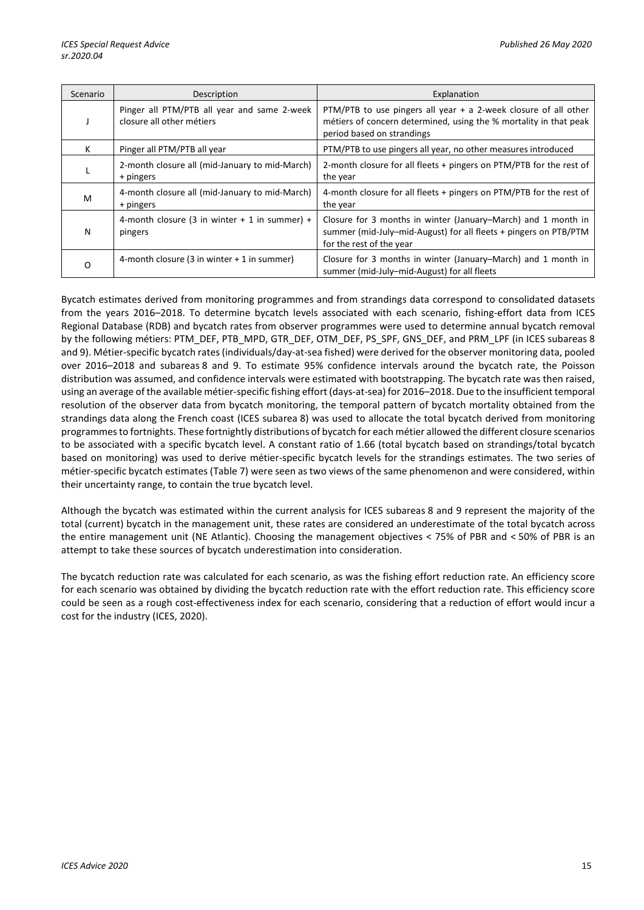| Scenario | Description                                                              | Explanation                                                                                                                                                        |
|----------|--------------------------------------------------------------------------|--------------------------------------------------------------------------------------------------------------------------------------------------------------------|
|          | Pinger all PTM/PTB all year and same 2-week<br>closure all other métiers | PTM/PTB to use pingers all year + a 2-week closure of all other<br>métiers of concern determined, using the % mortality in that peak<br>period based on strandings |
| K.       | Pinger all PTM/PTB all year                                              | PTM/PTB to use pingers all year, no other measures introduced                                                                                                      |
|          | 2-month closure all (mid-January to mid-March)<br>+ pingers              | 2-month closure for all fleets + pingers on PTM/PTB for the rest of<br>the year                                                                                    |
| м        | 4-month closure all (mid-January to mid-March)<br>+ pingers              | 4-month closure for all fleets + pingers on PTM/PTB for the rest of<br>the year                                                                                    |
| Ν        | 4-month closure (3 in winter $+$ 1 in summer) +<br>pingers               | Closure for 3 months in winter (January–March) and 1 month in<br>summer (mid-July-mid-August) for all fleets + pingers on PTB/PTM<br>for the rest of the year      |
| O        | 4-month closure (3 in winter + 1 in summer)                              | Closure for 3 months in winter (January–March) and 1 month in<br>summer (mid-July-mid-August) for all fleets                                                       |

Bycatch estimates derived from monitoring programmes and from strandings data correspond to consolidated datasets from the years 2016–2018. To determine bycatch levels associated with each scenario, fishing-effort data from ICES Regional Database (RDB) and bycatch rates from observer programmes were used to determine annual bycatch removal by the following métiers: PTM\_DEF, PTB\_MPD, GTR\_DEF, OTM\_DEF, PS\_SPF, GNS\_DEF, and PRM\_LPF (in ICES subareas 8 and 9). Métier-specific bycatch rates (individuals/day-at-sea fished) were derived for the observer monitoring data, pooled over 2016–2018 and subareas 8 and 9. To estimate 95% confidence intervals around the bycatch rate, the Poisson distribution was assumed, and confidence intervals were estimated with bootstrapping. The bycatch rate was then raised, using an average of the available métier-specific fishing effort (days-at-sea) for 2016–2018. Due to the insufficient temporal resolution of the observer data from bycatch monitoring, the temporal pattern of bycatch mortality obtained from the strandings data along the French coast (ICES subarea 8) was used to allocate the total bycatch derived from monitoring programmes to fortnights. These fortnightly distributions of bycatch for each métier allowed the different closure scenarios to be associated with a specific bycatch level. A constant ratio of 1.66 (total bycatch based on strandings/total bycatch based on monitoring) was used to derive métier-specific bycatch levels for the strandings estimates. The two series of métier-specific bycatch estimates (Table 7) were seen as two views of the same phenomenon and were considered, within their uncertainty range, to contain the true bycatch level.

Although the bycatch was estimated within the current analysis for ICES subareas 8 and 9 represent the majority of the total (current) bycatch in the management unit, these rates are considered an underestimate of the total bycatch across the entire management unit (NE Atlantic). Choosing the management objectives < 75% of PBR and < 50% of PBR is an attempt to take these sources of bycatch underestimation into consideration.

The bycatch reduction rate was calculated for each scenario, as was the fishing effort reduction rate. An efficiency score for each scenario was obtained by dividing the bycatch reduction rate with the effort reduction rate. This efficiency score could be seen as a rough cost-effectiveness index for each scenario, considering that a reduction of effort would incur a cost for the industry (ICES, 2020).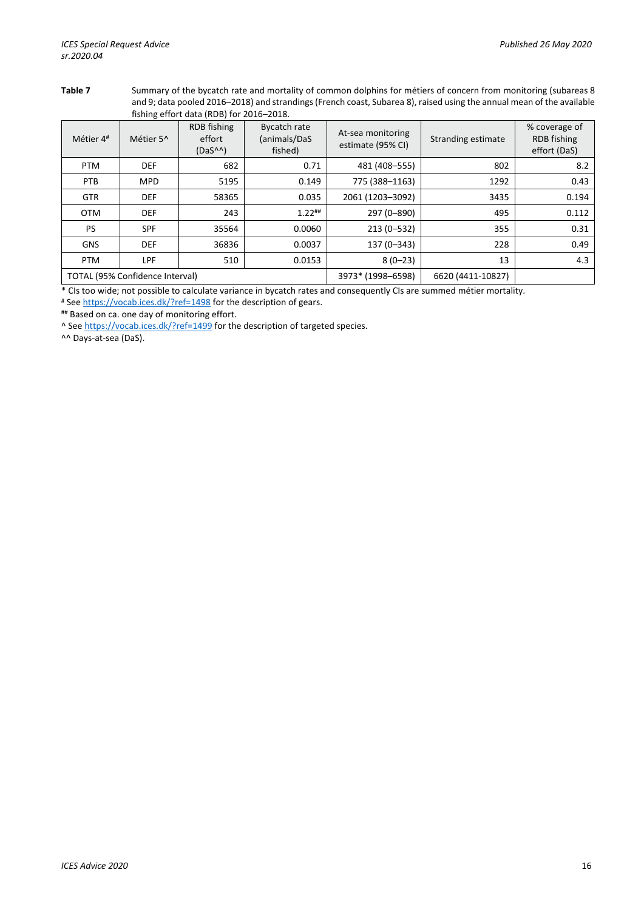**Table 7** Summary of the bycatch rate and mortality of common dolphins for métiers of concern from monitoring (subareas 8 and 9; data pooled 2016–2018) and strandings (French coast, Subarea 8), raised using the annual mean of the available fishing effort data (RDB) for 2016–2018.

| Métier 4#  | Métier 5^                       | RDB fishing<br>effort<br>$(DaS^{\wedge\wedge})$ | <b>Bycatch rate</b><br>(animals/DaS<br>fished) | At-sea monitoring<br>estimate (95% CI) | Stranding estimate | % coverage of<br>RDB fishing<br>effort (DaS) |
|------------|---------------------------------|-------------------------------------------------|------------------------------------------------|----------------------------------------|--------------------|----------------------------------------------|
| <b>PTM</b> | <b>DEF</b>                      | 682                                             | 0.71                                           | 481 (408-555)                          | 802                | 8.2                                          |
| PTB        | <b>MPD</b>                      | 5195                                            | 0.149                                          | 775 (388-1163)                         | 1292               | 0.43                                         |
| <b>GTR</b> | <b>DEF</b>                      | 58365                                           | 0.035                                          | 2061 (1203-3092)                       | 3435               | 0.194                                        |
| <b>OTM</b> | <b>DEF</b>                      | 243                                             | $1.22$ ##                                      | 297 (0-890)                            | 495                | 0.112                                        |
| PS         | <b>SPF</b>                      | 35564                                           | 0.0060                                         | $213(0-532)$                           | 355                | 0.31                                         |
| <b>GNS</b> | <b>DEF</b>                      | 36836                                           | 0.0037                                         | 137 (0-343)                            | 228                | 0.49                                         |
| <b>PTM</b> | <b>LPF</b>                      | 510                                             | 0.0153                                         | $8(0-23)$                              | 13                 | 4.3                                          |
|            | TOTAL (95% Confidence Interval) |                                                 |                                                | 3973* (1998-6598)                      | 6620 (4411-10827)  |                                              |

\* CIs too wide; not possible to calculate variance in bycatch rates and consequently CIs are summed métier mortality.<br># See<https://vocab.ices.dk/?ref=1498> for the description of gears.

## Based on ca. one day of monitoring effort.

^ Se[e https://vocab.ices.dk/?ref=1499](https://vocab.ices.dk/?ref=1499) for the description of targeted species.

^^ Days-at-sea (DaS).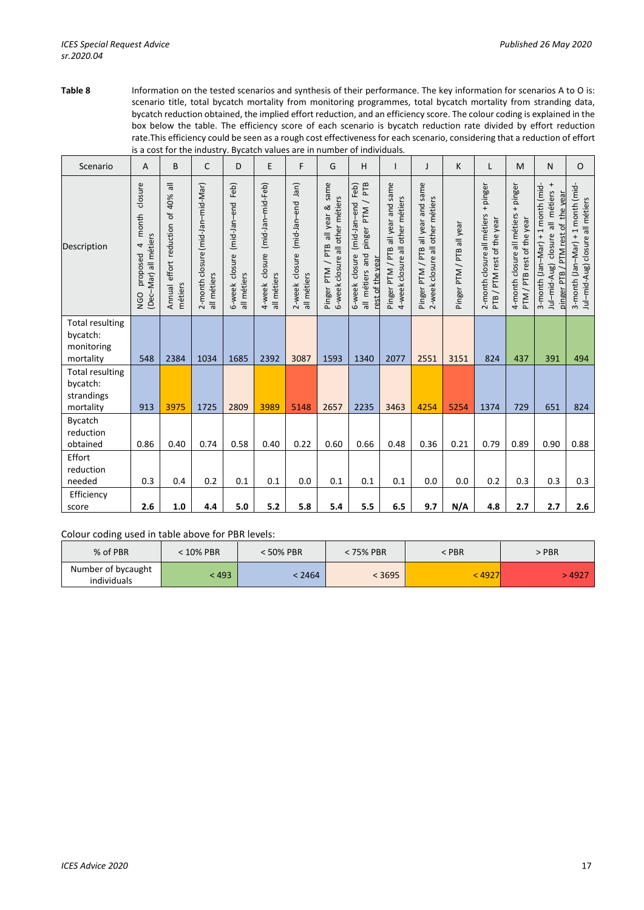**Table 8** Information on the tested scenarios and synthesis of their performance. The key information for scenarios A to O is: scenario title, total bycatch mortality from monitoring programmes, total bycatch mortality from stranding data, bycatch reduction obtained, the implied effort reduction, and an efficiency score. The colour coding is explained in the box below the table. The efficiency score of each scenario is bycatch reduction rate divided by effort reduction rate.This efficiency could be seen as a rough cost effectiveness for each scenario, considering that a reduction of effort is a cost for the industry. Bycatch values are in number of individuals.

| Scenario                                                      | A                                                                        | B                                                          | C                                                | D                                               | E                                                     | F                                                        | G                                                                          | H                                                                                                        |                                                                        | J                                                                         | K                         | L                                                                    | M                                                                  | N                                                                                                                                   | $\Omega$                                                                 |
|---------------------------------------------------------------|--------------------------------------------------------------------------|------------------------------------------------------------|--------------------------------------------------|-------------------------------------------------|-------------------------------------------------------|----------------------------------------------------------|----------------------------------------------------------------------------|----------------------------------------------------------------------------------------------------------|------------------------------------------------------------------------|---------------------------------------------------------------------------|---------------------------|----------------------------------------------------------------------|--------------------------------------------------------------------|-------------------------------------------------------------------------------------------------------------------------------------|--------------------------------------------------------------------------|
| Description                                                   | closure<br>month<br>(Dec-Mar) all métiers<br>4<br>proposed<br><b>DPN</b> | $\equiv$<br>40%<br>đ<br>Annual effort reduction<br>métiers | 2-month closure (mid-Jan-mid-Mar)<br>all métiers | 6-week closure (mid-Jan-end Feb)<br>all métiers | (mid-Jan-mid-Feb)<br>closure<br>all métiers<br>4-week | Jan)<br>(mid-Jan-end<br>closure<br>all métiers<br>2-week | same<br>6-week closure all other métiers<br>all year &<br>Pinger PTM / PTB | PTB<br>Feb)<br>(mid-Jan-end<br>PTM<br>pinger<br>6-week closure<br>and<br>rest of the year<br>all métiers | Pinger PTM / PTB all year and same<br>4-week closure all other métiers | all year and same<br>2-week closure all other métiers<br>Pinger PTM / PTB | Pinger PTM / PTB all year | +pinger<br>2-month closure all métiers<br>PTB / PTM rest of the year | 4-month closure all métiers + pinger<br>PTM / PTB rest of the year | $\pmb{+}$<br>3-month (Jan-Mar) + 1 month (mid-<br>all métiers<br>the year<br>/ PTM rest of<br>closure<br>Jul-mid-Aug)<br>pinger PTB | 1 month (mid-<br>Jul-mid-Aug) closure all métiers<br>3-month (Jan-Mar) + |
| <b>Total resulting</b><br>bycatch:<br>monitoring<br>mortality | 548                                                                      | 2384                                                       | 1034                                             | 1685                                            | 2392                                                  | 3087                                                     | 1593                                                                       | 1340                                                                                                     | 2077                                                                   | 2551                                                                      | 3151                      | 824                                                                  | 437                                                                | 391                                                                                                                                 | 494                                                                      |
| <b>Total resulting</b><br>bycatch:<br>strandings<br>mortality | 913                                                                      | 3975                                                       | 1725                                             | 2809                                            | 3989                                                  | 5148                                                     | 2657                                                                       | 2235                                                                                                     | 3463                                                                   | 4254                                                                      | 5254                      | 1374                                                                 | 729                                                                | 651                                                                                                                                 | 824                                                                      |
| Bycatch<br>reduction<br>obtained                              | 0.86                                                                     | 0.40                                                       | 0.74                                             | 0.58                                            | 0.40                                                  | 0.22                                                     | 0.60                                                                       | 0.66                                                                                                     | 0.48                                                                   | 0.36                                                                      | 0.21                      | 0.79                                                                 | 0.89                                                               | 0.90                                                                                                                                | 0.88                                                                     |
| Effort<br>reduction<br>needed                                 | 0.3                                                                      | 0.4                                                        | 0.2                                              | 0.1                                             | 0.1                                                   | 0.0                                                      | 0.1                                                                        | 0.1                                                                                                      | 0.1                                                                    | 0.0                                                                       | 0.0                       | 0.2                                                                  | 0.3                                                                | 0.3                                                                                                                                 | 0.3                                                                      |
| Efficiency<br>score                                           | 2.6                                                                      | 1.0                                                        | 4.4                                              | 5.0                                             | 5.2                                                   | 5.8                                                      | 5.4                                                                        | 5.5                                                                                                      | 6.5                                                                    | 9.7                                                                       | N/A                       | 4.8                                                                  | 2.7                                                                | 2.7                                                                                                                                 | 2.6                                                                      |

Colour coding used in table above for PBR levels:

| % of PBR                          | <b>10% PBR</b> | 50% PBR | 75% PBR | : PBR | > PBR       |
|-----------------------------------|----------------|---------|---------|-------|-------------|
| Number of bycaught<br>individuals | < 493          | 2464    | 3695    | 4927  | <b>4927</b> |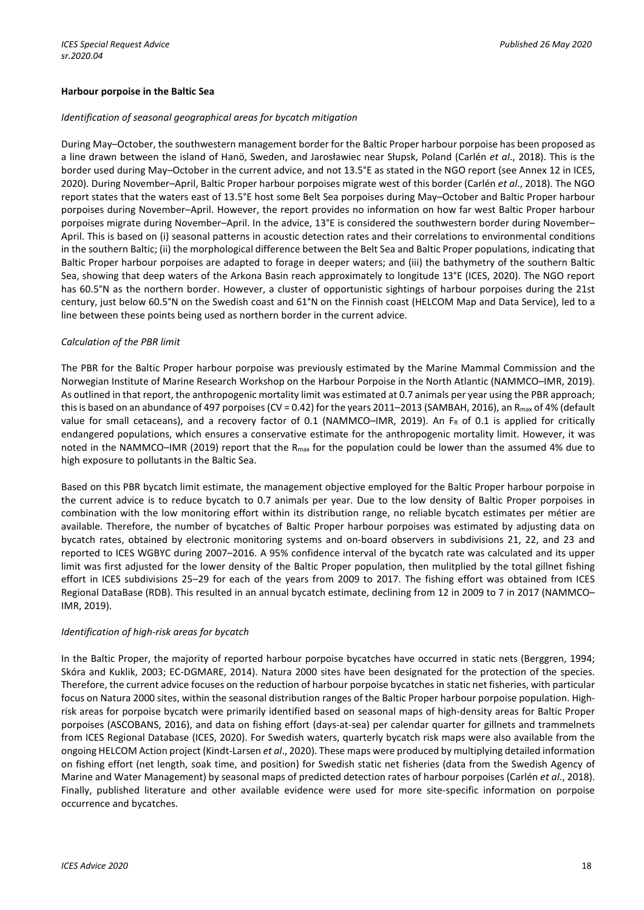## **Harbour porpoise in the Baltic Sea**

## *Identification of seasonal geographical areas for bycatch mitigation*

During May–October, the southwestern management border for the Baltic Proper harbour porpoise has been proposed as a line drawn between the island of Hanö, Sweden, and Jarosławiec near Słupsk, Poland (Carlén *et al*., 2018). This is the border used during May–October in the current advice, and not 13.5°E as stated in the NGO report (see Annex 12 in ICES, 2020). During November–April, Baltic Proper harbour porpoises migrate west of this border (Carlén *et al*., 2018). The NGO report states that the waters east of 13.5°E host some Belt Sea porpoises during May–October and Baltic Proper harbour porpoises during November–April. However, the report provides no information on how far west Baltic Proper harbour porpoises migrate during November–April. In the advice, 13°E is considered the southwestern border during November– April. This is based on (i) seasonal patterns in acoustic detection rates and their correlations to environmental conditions in the southern Baltic; (ii) the morphological difference between the Belt Sea and Baltic Proper populations, indicating that Baltic Proper harbour porpoises are adapted to forage in deeper waters; and (iii) the bathymetry of the southern Baltic Sea, showing that deep waters of the Arkona Basin reach approximately to longitude 13°E (ICES, 2020). The NGO report has 60.5°N as the northern border. However, a cluster of opportunistic sightings of harbour porpoises during the 21st century, just below 60.5°N on the Swedish coast and 61°N on the Finnish coast (HELCOM Map and Data Service), led to a line between these points being used as northern border in the current advice.

## *Calculation of the PBR limit*

The PBR for the Baltic Proper harbour porpoise was previously estimated by the Marine Mammal Commission and the Norwegian Institute of Marine Research Workshop on the Harbour Porpoise in the North Atlantic (NAMMCO–IMR, 2019). As outlined in that report, the anthropogenic mortality limit was estimated at 0.7 animals per year using the PBR approach; this is based on an abundance of 497 porpoises (CV = 0.42) for the years 2011–2013 (SAMBAH, 2016), an R<sub>max</sub> of 4% (default value for small cetaceans), and a recovery factor of 0.1 (NAMMCO-IMR, 2019). An F<sub>R</sub> of 0.1 is applied for critically endangered populations, which ensures a conservative estimate for the anthropogenic mortality limit. However, it was noted in the NAMMCO–IMR (2019) report that the R<sub>max</sub> for the population could be lower than the assumed 4% due to high exposure to pollutants in the Baltic Sea.

Based on this PBR bycatch limit estimate, the management objective employed for the Baltic Proper harbour porpoise in the current advice is to reduce bycatch to 0.7 animals per year. Due to the low density of Baltic Proper porpoises in combination with the low monitoring effort within its distribution range, no reliable bycatch estimates per métier are available. Therefore, the number of bycatches of Baltic Proper harbour porpoises was estimated by adjusting data on bycatch rates, obtained by electronic monitoring systems and on-board observers in subdivisions 21, 22, and 23 and reported to ICES WGBYC during 2007–2016. A 95% confidence interval of the bycatch rate was calculated and its upper limit was first adjusted for the lower density of the Baltic Proper population, then mulitplied by the total gillnet fishing effort in ICES subdivisions 25–29 for each of the years from 2009 to 2017. The fishing effort was obtained from ICES Regional DataBase (RDB). This resulted in an annual bycatch estimate, declining from 12 in 2009 to 7 in 2017 (NAMMCO– IMR, 2019).

# *Identification of high-risk areas for bycatch*

In the Baltic Proper, the majority of reported harbour porpoise bycatches have occurred in static nets (Berggren, 1994; Skóra and Kuklik, 2003; EC-DGMARE, 2014). Natura 2000 sites have been designated for the protection of the species. Therefore, the current advice focuses on the reduction of harbour porpoise bycatches in static net fisheries, with particular focus on Natura 2000 sites, within the seasonal distribution ranges of the Baltic Proper harbour porpoise population. Highrisk areas for porpoise bycatch were primarily identified based on seasonal maps of high-density areas for Baltic Proper porpoises (ASCOBANS, 2016), and data on fishing effort (days-at-sea) per calendar quarter for gillnets and trammelnets from ICES Regional Database (ICES, 2020). For Swedish waters, quarterly bycatch risk maps were also available from the ongoing HELCOM Action project (Kindt-Larsen *et al*., 2020). These maps were produced by multiplying detailed information on fishing effort (net length, soak time, and position) for Swedish static net fisheries (data from the Swedish Agency of Marine and Water Management) by seasonal maps of predicted detection rates of harbour porpoises (Carlén *et al*., 2018). Finally, published literature and other available evidence were used for more site-specific information on porpoise occurrence and bycatches.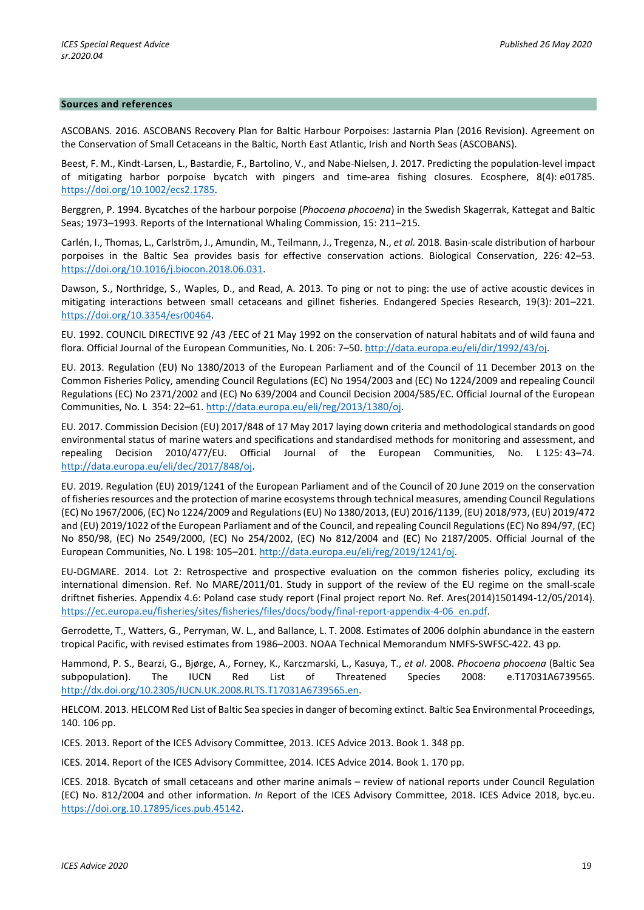#### **Sources and references**

ASCOBANS. 2016. ASCOBANS Recovery Plan for Baltic Harbour Porpoises: Jastarnia Plan (2016 Revision). Agreement on the Conservation of Small Cetaceans in the Baltic, North East Atlantic, Irish and North Seas (ASCOBANS).

Beest, F. M., Kindt-Larsen, L., Bastardie, F., Bartolino, V., and Nabe-Nielsen, J. 2017. Predicting the population-level impact of mitigating harbor porpoise bycatch with pingers and time-area fishing closures. Ecosphere, 8(4): e01785. [https://doi.org/10.1002/ecs2.1785.](https://doi.org/10.1002/ecs2.1785)

Berggren, P. 1994. Bycatches of the harbour porpoise (*Phocoena phocoena*) in the Swedish Skagerrak, Kattegat and Baltic Seas; 1973–1993. Reports of the International Whaling Commission, 15: 211–215.

Carlén, I., Thomas, L., Carlström, J., Amundin, M., Teilmann, J., Tregenza, N., *et al.* 2018. Basin-scale distribution of harbour porpoises in the Baltic Sea provides basis for effective conservation actions. Biological Conservation, 226: 42–53. [https://doi.org/10.1016/j.biocon.2018.06.031.](https://doi.org/10.1016/j.biocon.2018.06.031)

Dawson, S., Northridge, S., Waples, D., and Read, A. 2013. To ping or not to ping: the use of active acoustic devices in mitigating interactions between small cetaceans and gillnet fisheries. Endangered Species Research, 19(3): 201–221. [https://doi.org/10.3354/esr00464.](https://doi.org/10.3354/esr00464) 

EU. 1992. COUNCIL DIRECTIVE 92 /43 /EEC of 21 May 1992 on the conservation of natural habitats and of wild fauna and flora. Official Journal of the European Communities, No. L 206: 7-50[. http://data.europa.eu/eli/dir/1992/43/oj.](http://data.europa.eu/eli/dir/1992/43/oj)

EU. 2013. Regulation (EU) No 1380/2013 of the European Parliament and of the Council of 11 December 2013 on the Common Fisheries Policy, amending Council Regulations (EC) No 1954/2003 and (EC) No 1224/2009 and repealing Council Regulations (EC) No 2371/2002 and (EC) No 639/2004 and Council Decision 2004/585/EC. Official Journal of the European Communities, No. L 354: 22–61. [http://data.europa.eu/eli/reg/2013/1380/oj.](http://data.europa.eu/eli/reg/2013/1380/oj)

EU. 2017. Commission Decision (EU) 2017/848 of 17 May 2017 laying down criteria and methodological standards on good environmental status of marine waters and specifications and standardised methods for monitoring and assessment, and repealing Decision 2010/477/EU. Official Journal of the European Communities, No. L 125: 43–74. [http://data.europa.eu/eli/dec/2017/848/oj.](http://data.europa.eu/eli/dec/2017/848/oj) 

EU. 2019. Regulation (EU) 2019/1241 of the European Parliament and of the Council of 20 June 2019 on the conservation of fisheries resources and the protection of marine ecosystems through technical measures, amending Council Regulations (EC) No 1967/2006, (EC) No 1224/2009 and Regulations (EU) No 1380/2013, (EU) 2016/1139, (EU) 2018/973, (EU) 2019/472 and (EU) 2019/1022 of the European Parliament and of the Council, and repealing Council Regulations (EC) No 894/97, (EC) No 850/98, (EC) No 2549/2000, (EC) No 254/2002, (EC) No 812/2004 and (EC) No 2187/2005. Official Journal of the European Communities, No. L 198: 105–201. [http://data.europa.eu/eli/reg/2019/1241/oj.](http://data.europa.eu/eli/reg/2019/1241/oj) 

EU-DGMARE. 2014. Lot 2: Retrospective and prospective evaluation on the common fisheries policy, excluding its international dimension. Ref. No MARE/2011/01. Study in support of the review of the EU regime on the small-scale driftnet fisheries. Appendix 4.6: Poland case study report (Final project report No. Ref. Ares(2014)1501494-12/05/2014). [https://ec.europa.eu/fisheries/sites/fisheries/files/docs/body/final-report-appendix-4-06\\_en.pdf.](https://ec.europa.eu/fisheries/sites/fisheries/files/docs/body/final-report-appendix-4-06_en.pdf)

Gerrodette, T., Watters, G., Perryman, W. L., and Ballance, L. T. 2008. Estimates of 2006 dolphin abundance in the eastern tropical Pacific, with revised estimates from 1986–2003. NOAA Technical Memorandum NMFS-SWFSC-422. 43 pp.

Hammond, P. S., Bearzi, G., Bjørge, A., Forney, K., Karczmarski, L., Kasuya, T., *et al*. 2008. *Phocoena phocoena* (Baltic Sea subpopulation). The IUCN Red List of Threatened Species 2008: e.T17031A6739565. [http://dx.doi.org/10.2305/IUCN.UK.2008.RLTS.T17031A6739565.en.](http://dx.doi.org/10.2305/IUCN.UK.2008.RLTS.T17031A6739565.en)

HELCOM. 2013. HELCOM Red List of Baltic Sea species in danger of becoming extinct. Baltic Sea Environmental Proceedings, 140. 106 pp.

ICES. 2013. Report of the ICES Advisory Committee, 2013. ICES Advice 2013. Book 1. 348 pp.

ICES. 2014. Report of the ICES Advisory Committee, 2014. ICES Advice 2014. Book 1. 170 pp.

ICES. 2018. Bycatch of small cetaceans and other marine animals – review of national reports under Council Regulation (EC) No. 812/2004 and other information. *In* Report of the ICES Advisory Committee, 2018. ICES Advice 2018, byc.eu. [https://doi.org.10.17895/ices.pub.45142.](https://doi.org.10.17895/ices.pub.45142)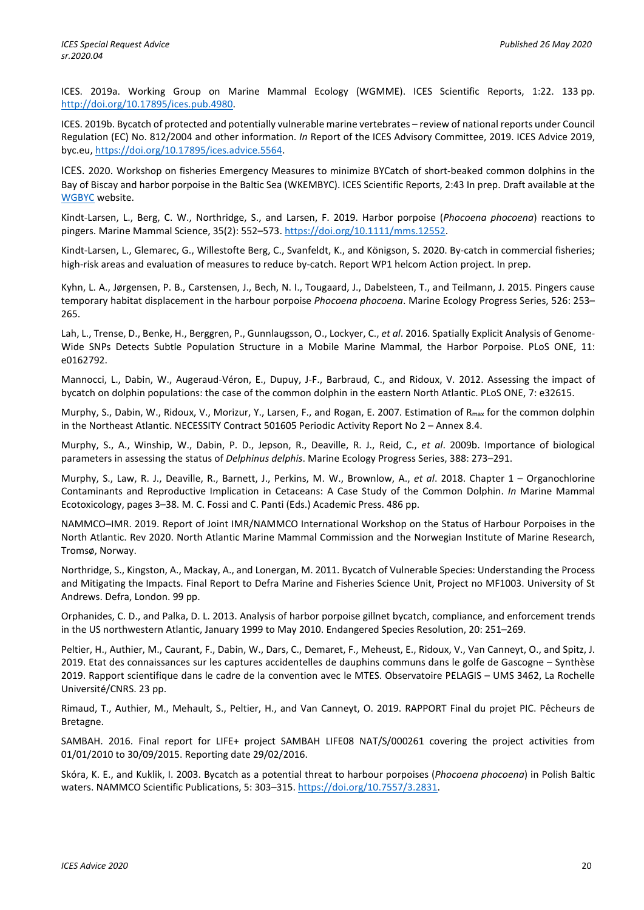ICES. 2019a. Working Group on Marine Mammal Ecology (WGMME). ICES Scientific Reports, 1:22. 133 pp. [http://doi.org/10.17895/ices.pub.4980.](http://doi.org/10.17895/ices.pub.4980) 

ICES. 2019b. Bycatch of protected and potentially vulnerable marine vertebrates – review of national reports under Council Regulation (EC) No. 812/2004 and other information. *In* Report of the ICES Advisory Committee, 2019. ICES Advice 2019, byc.eu, [https://doi.org/10.17895/ices.advice.5564.](https://doi.org/10.17895/ices.advice.5564)

ICES. 2020. Workshop on fisheries Emergency Measures to minimize BYCatch of short-beaked common dolphins in the Bay of Biscay and harbor porpoise in the Baltic Sea (WKEMBYC). ICES Scientific Reports, 2:43 In prep. Draft available at the [WGBYC](https://www.ices.dk/community/groups/Pages/WGBYC.aspx) website.

Kindt-Larsen, L., Berg, C. W., Northridge, S., and Larsen, F. 2019. Harbor porpoise (*Phocoena phocoena*) reactions to pingers. Marine Mammal Science, 35(2): 552–573. [https://doi.org/10.1111/mms.12552.](https://doi.org/10.1111/mms.12552)

Kindt-Larsen, L., Glemarec, G., Willestofte Berg, C., Svanfeldt, K., and Königson, S. 2020. By-catch in commercial fisheries; high-risk areas and evaluation of measures to reduce by-catch. Report WP1 helcom Action project. In prep.

Kyhn, L. A., Jørgensen, P. B., Carstensen, J., Bech, N. I., Tougaard, J., Dabelsteen, T., and Teilmann, J. 2015. Pingers cause temporary habitat displacement in the harbour porpoise *Phocoena phocoena*. Marine Ecology Progress Series, 526: 253– 265.

Lah, L., Trense, D., Benke, H., Berggren, P., Gunnlaugsson, O., Lockyer, C., *et al*. 2016. Spatially Explicit Analysis of Genome-Wide SNPs Detects Subtle Population Structure in a Mobile Marine Mammal, the Harbor Porpoise. PLoS ONE, 11: e0162792.

Mannocci, L., Dabin, W., Augeraud-Véron, E., Dupuy, J-F., Barbraud, C., and Ridoux, V. 2012. Assessing the impact of bycatch on dolphin populations: the case of the common dolphin in the eastern North Atlantic. PLoS ONE, 7: e32615.

Murphy, S., Dabin, W., Ridoux, V., Morizur, Y., Larsen, F., and Rogan, E. 2007. Estimation of R<sub>max</sub> for the common dolphin in the Northeast Atlantic. NECESSITY Contract 501605 Periodic Activity Report No 2 – Annex 8.4.

Murphy, S., A., Winship, W., Dabin, P. D., Jepson, R., Deaville, R. J., Reid, C., *et al*. 2009b. Importance of biological parameters in assessing the status of *Delphinus delphis*. Marine Ecology Progress Series, 388: 273–291.

Murphy, S., Law, R. J., Deaville, R., Barnett, J., Perkins, M. W., Brownlow, A., *et al*. 2018. Chapter 1 – Organochlorine Contaminants and Reproductive Implication in Cetaceans: A Case Study of the Common Dolphin. *In* Marine Mammal Ecotoxicology, pages 3–38. M. C. Fossi and C. Panti (Eds.) Academic Press. 486 pp.

NAMMCO–IMR. 2019. Report of Joint IMR/NAMMCO International Workshop on the Status of Harbour Porpoises in the North Atlantic. Rev 2020. North Atlantic Marine Mammal Commission and the Norwegian Institute of Marine Research, Tromsø, Norway.

Northridge, S., Kingston, A., Mackay, A., and Lonergan, M. 2011. Bycatch of Vulnerable Species: Understanding the Process and Mitigating the Impacts. Final Report to Defra Marine and Fisheries Science Unit, Project no MF1003. University of St Andrews. Defra, London. 99 pp.

Orphanides, C. D., and Palka, D. L. 2013. Analysis of harbor porpoise gillnet bycatch, compliance, and enforcement trends in the US northwestern Atlantic, January 1999 to May 2010. Endangered Species Resolution, 20: 251–269.

Peltier, H., Authier, M., Caurant, F., Dabin, W., Dars, C., Demaret, F., Meheust, E., Ridoux, V., Van Canneyt, O., and Spitz, J. 2019. Etat des connaissances sur les captures accidentelles de dauphins communs dans le golfe de Gascogne – Synthèse 2019. Rapport scientifique dans le cadre de la convention avec le MTES. Observatoire PELAGIS – UMS 3462, La Rochelle Université/CNRS. 23 pp.

Rimaud, T., Authier, M., Mehault, S., Peltier, H., and Van Canneyt, O. 2019. RAPPORT Final du projet PIC. Pêcheurs de Bretagne.

SAMBAH. 2016. Final report for LIFE+ project SAMBAH LIFE08 NAT/S/000261 covering the project activities from 01/01/2010 to 30/09/2015. Reporting date 29/02/2016.

Skóra, K. E., and Kuklik, I. 2003. Bycatch as a potential threat to harbour porpoises (*Phocoena phocoena*) in Polish Baltic waters. NAMMCO Scientific Publications, 5: 303–315. [https://doi.org/10.7557/3.2831.](https://doi.org/10.7557/3.2831)